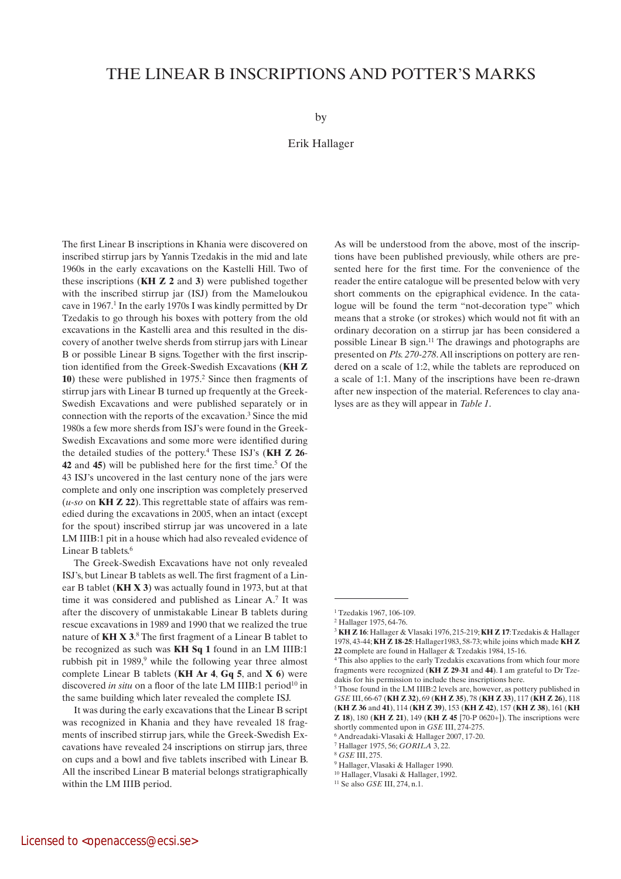# THE LINEAR B INSCRIPTIONS AND POTTER'S MARKS

by

# Erik Hallager

The first Linear B inscriptions in Khania were discovered on inscribed stirrup jars by Yannis Tzedakis in the mid and late 1960s in the early excavations on the Kastelli Hill. Two of these inscriptions (**KH Z 2** and **3**) were published together with the inscribed stirrup jar (ISJ) from the Mameloukou cave in 1967.<sup>1</sup> In the early 1970s I was kindly permitted by Dr Tzedakis to go through his boxes with pottery from the old excavations in the Kastelli area and this resulted in the discovery of another twelve sherds from stirrup jars with Linear B or possible Linear B signs. Together with the first inscription identified from the Greek-Swedish Excavations (**KH Z 10**) these were published in 1975.<sup>2</sup> Since then fragments of stirrup jars with Linear B turned up frequently at the Greek-Swedish Excavations and were published separately or in connection with the reports of the excavation.3 Since the mid 1980s a few more sherds from ISJ's were found in the Greek-Swedish Excavations and some more were identified during the detailed studies of the pottery.4 These ISJ's (**KH Z 26**- **42** and **45**) will be published here for the first time.<sup>5</sup> Of the 43 ISJ's uncovered in the last century none of the jars were complete and only one inscription was completely preserved (*u-so* on **KH Z 22**). This regrettable state of affairs was remedied during the excavations in 2005, when an intact (except for the spout) inscribed stirrup jar was uncovered in a late LM IIIB:1 pit in a house which had also revealed evidence of Linear B tablets.<sup>6</sup>

The Greek-Swedish Excavations have not only revealed ISJ's, but Linear B tablets as well. The first fragment of a Linear B tablet (**KH X 3**) was actually found in 1973, but at that time it was considered and published as Linear A.7 It was after the discovery of unmistakable Linear B tablets during rescue excavations in 1989 and 1990 that we realized the true nature of **KH X 3**. 8 The first fragment of a Linear B tablet to be recognized as such was **KH Sq 1** found in an LM IIIB:1 rubbish pit in 1989,<sup>9</sup> while the following year three almost complete Linear B tablets (**KH Ar 4**, **Gq 5**, and **X 6**) were discovered *in situ* on a floor of the late LM IIIB:1 period<sup>10</sup> in the same building which later revealed the complete ISJ.

It was during the early excavations that the Linear B script was recognized in Khania and they have revealed 18 fragments of inscribed stirrup jars, while the Greek-Swedish Excavations have revealed 24 inscriptions on stirrup jars, three on cups and a bowl and five tablets inscribed with Linear B. All the inscribed Linear B material belongs stratigraphically within the LM IIIB period.

As will be understood from the above, most of the inscriptions have been published previously, while others are presented here for the first time. For the convenience of the reader the entire catalogue will be presented below with very short comments on the epigraphical evidence. In the catalogue will be found the term "not-decoration type" which means that a stroke (or strokes) which would not fit with an ordinary decoration on a stirrup jar has been considered a possible Linear B sign.11 The drawings and photographs are presented on *Pls. 270-278*. All inscriptions on pottery are rendered on a scale of 1:2, while the tablets are reproduced on a scale of 1:1. Many of the inscriptions have been re-drawn after new inspection of the material. References to clay analyses are as they will appear in *Table 1*.

<sup>1</sup> Tzedakis 1967, 106-109.

<sup>2</sup> Hallager 1975, 64-76.

<sup>3</sup> **KH Z 16**: Hallager & Vlasaki 1976, 215-219; **KH Z 17**: Tzedakis & Hallager 1978, 43-44; **KH Z 18**-**25**: Hallager1983, 58-73; while joins which made **KH Z 22** complete are found in Hallager & Tzedakis 1984, 15-16.

<sup>&</sup>lt;sup>4</sup> This also applies to the early Tzedakis excavations from which four more fragments were recognized (**KH Z 29**-**31** and **44**). I am grateful to Dr Tzedakis for his permission to include these inscriptions here.

<sup>&</sup>lt;sup>5</sup> Those found in the LM IIIB:2 levels are, however, as pottery published in *GSE* III, 66-67 (**KH Z 32**), 69 (**KH Z 35**), 78 (**KH Z 33**), 117 (**KH Z 26**), 118 (**KH Z 36** and **41**), 114 (**KH Z 39**), 153 (**KH Z 42**), 157 (**KH Z 38**), 161 (**KH Z 18**), 180 (**KH Z 21**), 149 (**KH Z 45** [70-P 0620+]). The inscriptions were shortly commented upon in *GSE* III, 274-275.

<sup>6</sup> Andreadaki-Vlasaki & Hallager 2007, 17-20.

<sup>7</sup> Hallager 1975, 56; *GORILA* 3, 22. 8 *GSE* III, 275.

<sup>9</sup> Hallager, Vlasaki & Hallager 1990.

<sup>10</sup> Hallager, Vlasaki & Hallager, 1992.

<sup>11</sup> Se also *GSE* III, 274, n.1.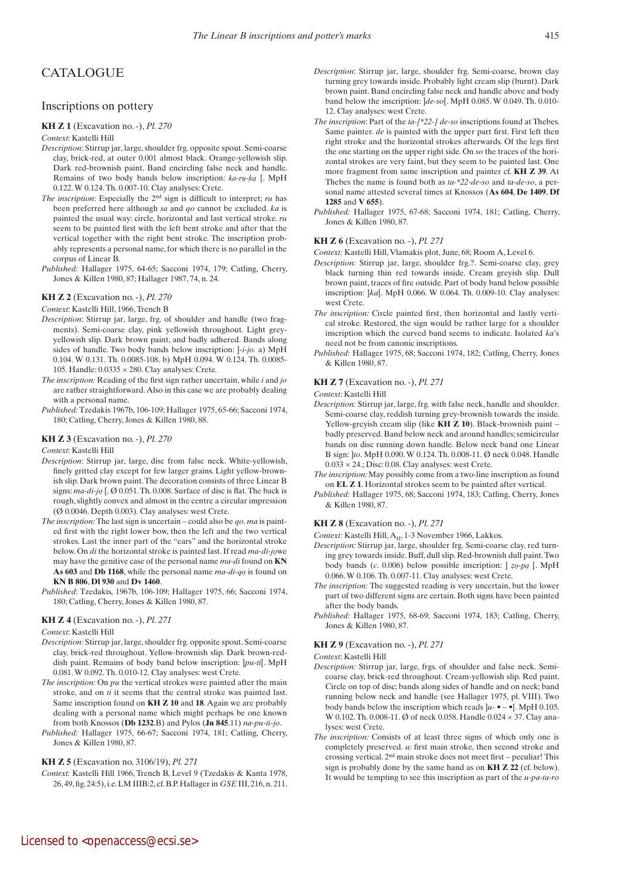# **CATALOGUE**

## Inscriptions on pottery

## **KH Z 1** (Excavation no. -), *Pl. 270*

#### *Context*: Kastelli Hill

- *Description*: Stirrup jar, large, shoulder frg. opposite spout. Semi-coarse clay, brick-red, at outer 0.001 almost black. Orange-yellowish slip. Dark red-brownish paint. Band encircling false neck and handle. Remains of two body bands below inscription:  $ka$ -ru- $k$ a [. MpH 0.122. W 0.124. Th. 0.007-10. Clay analyses: Crete.
- *The inscription*: Especially the 2nd sign is difficult to interpret; *ru* has been preferred here although *sa* and *qo* cannot be excluded. *ka* is painted the usual way: circle, horizontal and last vertical stroke. *ru* seem to be painted first with the left bent stroke and after that the vertical together with the right bent stroke. The inscription probably represents a personal name, for which there is no parallel in the corpus of Linear B.
- *Published:* Hallager 1975, 64-65; Sacconi 1974, 179; Catling, Cherry, Jones & Killen 1980, 87; Hallager 1987, 74, n. 24.

#### **KH Z 2** (Excavation no. -), *Pl. 270*

*Context*: Kastelli Hill, 1966, Trench B

- *Description*: Stirrup jar, large, frg. of shoulder and handle (two fragments). Semi-coarse clay, pink yellowish throughout. Light greyyellowish slip. Dark brown paint, and badly adhered. Bands along sides of handle. Two body bands below inscription: ]*-i-jo.* a) MpH 0.104. W 0.131. Th. 0.0085-108. b) MpH 0.094. W 0.124. Th. 0.0085- 105. Handle:  $0.0335 \times 280$ . Clay analyses: Crete.
- *The inscription:* Reading of the first sign rather uncertain, while *i* and *jo* are rather straightforward. Also in this case we are probably dealing with a personal name.
- *Published:* Tzedakis 1967b, 106-109; Hallager 1975, 65-66; Sacconi 1974, 180; Catling, Cherry, Jones & Killen 1980, 88.

#### **KH Z 3** (Excavation no. -), *Pl. 270*

*Context*: Kastelli Hill

- *Description*: Stirrup jar, large, disc from false neck. White-yellowish, finely gritted clay except for few larger grains. Light yellow-brownish slip. Dark brown paint. The decoration consists of three Linear B signs: *ma-di-j�o�* [. Ø 0.051. Th. 0.008. Surface of disc is flat. The back is rough, slightly convex and almost in the centre a circular impression (Ø 0.0046. Depth 0.003). Clay analyses: west Crete.
- *The inscription:* The last sign is uncertain could also be *qo*. *ma* is painted first with the right lower bow, then the left and the two vertical strokes. Last the inner part of the "ears" and the horizontal stroke below. On *di* the horizontal stroke is painted last. If read ma-di-jowe may have the genitive case of the personal name *ma-di* found on **KN** As 603 and **Db** 1168, while the personal name  $ma$ -di-q $\phi$  is found on **KN B 806**, **Dl 930** and **Dv 1460**.
- *Published*: Tzedakis, 1967b, 106-109; Hallager 1975, 66; Sacconi 1974, 180; Catling, Cherry, Jones & Killen 1980, 87.

#### **KH Z 4** (Excavation no. -), *Pl. 271*

*Context*: Kastelli Hill

- *Description*: Stirrup jar, large, shoulder frg. opposite spout. Semi-coarse clay, brick-red throughout. Yellow-brownish slip. Dark brown-reddish paint. Remains of body band below inscription: ]*pu-ti*[. MpH 0.081. W 0.092. Th. 0.010-12. Clay analyses: west Crete.
- *The inscription:* On *pu* the vertical strokes were painted after the main stroke, and on *ti* it seems that the central stroke was painted last. Same inscription found on **KH Z 10** and **18**. Again we are probably dealing with a personal name which might perhaps be one known from both Knossos (**Db 1232**.B) and Pylos (**Jn 845**.11) *na-pu-ti-jo*.
- *Published:* Hallager 1975, 66-67; Sacconi 1974, 181; Catling, Cherry, Jones & Killen 1980, 87.

#### **KH Z 5** (Excavation no. 3106/19), *Pl. 271*

*Context:* Kastelli Hill 1966, Trench B, Level 9 (Tzedakis & Kanta 1978, 26, 49, fig. 24:5), i.e. LM IIIB:2, cf. B.P. Hallager in *GSE* III, 216, n. 211.

- *Description*: Stirrup jar, large, shoulder frg. Semi-coarse, brown clay turning grey towards inside. Probably light cream slip (burnt). Dark brown paint. Band encircling false neck and handle above and body band below the inscription: ]*de-so*[. MpH 0.085. W 0.049. Th. 0.010- 12. Clay analyses: west Crete.
- *The inscription*: Part of the *ta-[\*22-] de-so* inscriptions found at Thebes. Same painter. *de* is painted with the upper part first. First left then right stroke and the horizontal strokes afterwards. Of the legs first the one starting on the upper right side. On *so* the traces of the horizontal strokes are very faint, but they seem to be painted last. One more fragment from same inscription and painter cf. **KH Z 39**. At Thebes the name is found both as *ta-\*22-de-so* and *ta-de-so*, a personal name attested several times at Knossos (**As 604**, **De 1409**, **Df 1285** and **V 655**).
- *Published:* Hallager 1975, 67-68; Sacconi 1974, 181; Catling, Cherry, Jones & Killen 1980, 87.

#### **KH Z 6** (Excavation no. -), *Pl. 271*

*Context:* Kastelli Hill, Vlamakis plot, June, 68; Room A, Level 6.

- *Description:* Stirrup jar, large, shoulder frg.?. Semi-coarse clay, grey black turning thin red towards inside. Cream greyish slip. Dull brown paint, traces of fire outside. Part of body band below possible inscription: ]*ka*[. MpH 0.066. W 0.064. Th. 0.009-10. Clay analyses: west Crete.
- *The inscription:* Circle painted first, then horizontal and lastly vertical stroke. Restored, the sign would be rather large for a shoulder inscription which the curved band seems to indicate. Isolated *ka*'s need not be from canonic inscriptions.
- *Published:* Hallager 1975, 68; Sacconi 1974, 182; Catling, Cherry, Jones & Killen 1980, 87.

#### **KH Z 7** (Excavation no. -), *Pl. 271*

*Context*: Kastelli Hill

- *Description:* Stirrup jar, large, frg. with false neck, handle and shoulder. Semi-coarse clay, reddish turning grey-brownish towards the inside. Yellow-greyish cream slip (like **KH Z 10**). Black-brownish paint – badly preserved. Band below neck and around handles; semicircular bands on disc running down handle. Below neck band one Linear B sign: ]*to*. MpH 0.090. W 0.124. Th. 0.008-11. Ø neck 0.048. Handle  $0.033 \times 24$ .; Disc: 0.08. Clay analyses: west Crete.
- *The inscription:* May possibly come from a two-line inscription as found on **EL Z 1**. Horizontal strokes seem to be painted after vertical.
- *Published:* Hallager 1975, 68; Sacconi 1974, 183; Catling, Cherry, Jones & Killen 1980, 87.

#### **KH Z 8** (Excavation no. -), *Pl. 271*

- *Context:* Kastelli Hill, A<sub>II</sub>, 1-3 November 1966, Lakkos.
- *Description:* Stirrup jar, large, shoulder frg. Semi-coarse clay, red turning grey towards inside. Buff, dull slip. Red-brownish dull paint. Two body bands (*c*. 0.006) below possible inscription:  $]$  *zo*-*pa* [. MpH 0.066. W 0.106. Th. 0.007-11. Clay analyses: west Crete.
- *The inscription:* The suggested reading is very uncertain, but the lower part of two different signs are certain. Both signs have been painted after the body bands.
- *Published:* Hallager 1975, 68-69; Sacconi 1974, 183; Catling, Cherry, Jones & Killen 1980, 87.

## **KH Z 9** (Excavation no. -), *Pl. 271*

*Context*: Kastelli Hill

- *Description:* Stirrup jar, large, frgs. of shoulder and false neck. Semicoarse clay, brick-red throughout. Cream-yellowish slip. Red paint. Circle on top of disc; bands along sides of handle and on neck; band running below neck and handle (see Hallager 1975, pl. VIII). Two body bands below the inscription which reads  $]u - \cdot - \cdot$ . MpH 0.105. W 0.102. Th. 0.008-11. Ø of neck 0.058. Handle 0.024 × 37. Clay analyses: west Crete.
- *The inscription:* Consists of at least three signs of which only one is completely preserved. *u*: first main stroke, then second stroke and crossing vertical. 2nd main stroke does not meet first – peculiar! This sign is probably done by the same hand as on **KH Z 22** (cf. below). It would be tempting to see this inscription as part of the *u-pa-ta-ro*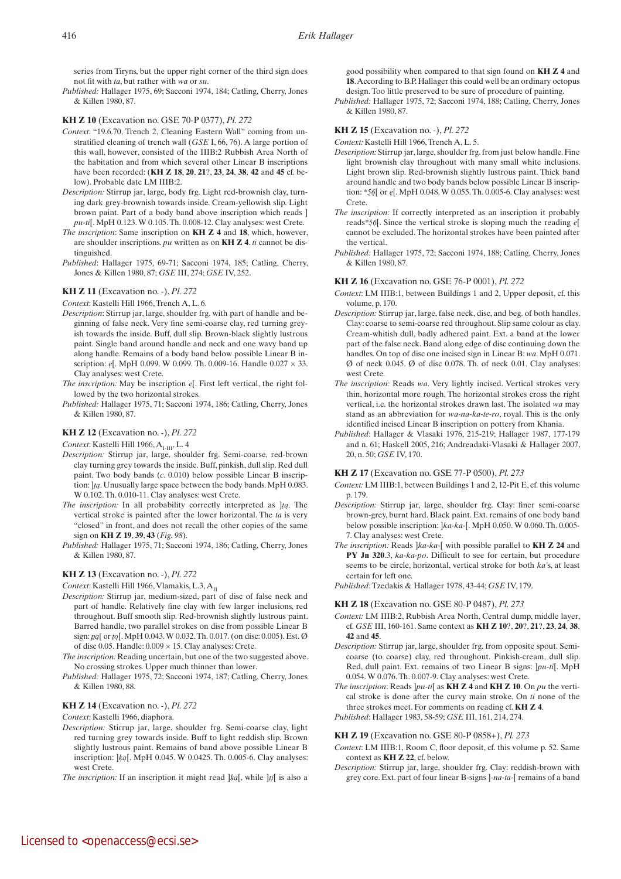series from Tiryns, but the upper right corner of the third sign does not fit with *ta*, but rather with *wa* or *su*.

*Published:* Hallager 1975, 69; Sacconi 1974, 184; Catling, Cherry, Jones & Killen 1980, 87.

## **KH Z 10** (Excavation no. GSE 70-P 0377), *Pl. 272*

- *Context*: "19.6.70, Trench 2, Cleaning Eastern Wall" coming from unstratified cleaning of trench wall (*GSE* I, 66, 76). A large portion of this wall, however, consisted of the IIIB:2 Rubbish Area North of the habitation and from which several other Linear B inscriptions have been recorded: (**KH Z 18**, **20**, **21**?, **23**, **24**, **38**, **42** and **45** cf. below). Probable date LM IIIB:2.
- *Description:* Stirrup jar, large, body frg. Light red-brownish clay, turning dark grey-brownish towards inside. Cream-yellowish slip. Light brown paint. Part of a body band above inscription which reads ] *pu-ti*[. MpH 0.123. W 0.105. Th. 0.008-12. Clay analyses: west Crete.
- *The inscription*: Same inscription on **KH Z 4** and **18**, which, however, are shoulder inscriptions. *pu* written as on **KH Z 4**. *ti* cannot be distinguished.
- *Published*: Hallager 1975, 69-71; Sacconi 1974, 185; Catling, Cherry, Jones & Killen 1980, 87; *GSE* III, 274; *GSE* IV, 252.

#### **KH Z 11** (Excavation no. -), *Pl. 272*

*Context*: Kastelli Hill 1966, Trench A, L. 6.

- *Description*: Stirrup jar, large, shoulder frg. with part of handle and beginning of false neck. Very fine semi-coarse clay, red turning greyish towards the inside. Buff, dull slip. Brown-black slightly lustrous paint. Single band around handle and neck and one wavy band up along handle. Remains of a body band below possible Linear B inscription: *e*[. MpH 0.099. W 0.099. Th. 0.009-16. Handle 0.027 × 33. Clay analyses: west Crete.
- *The inscription:* May be inscription  $e$ [. First left vertical, the right followed by the two horizontal strokes.
- *Published:* Hallager 1975, 71; Sacconi 1974, 186; Catling, Cherry, Jones & Killen 1980, 87.

## **KH Z 12** (Excavation no. -), *Pl. 272*

*Context*: Kastelli Hill 1966, A<sub>LIII</sub>, L. 4

- *Description:* Stirrup jar, large, shoulder frg. Semi-coarse, red-brown clay turning grey towards the inside. Buff, pinkish, dull slip. Red dull paint. Two body bands (*c*. 0.010) below possible Linear B inscription: *]ta*. Unusually large space between the body bands. MpH 0.083. W 0.102. Th. 0.010-11. Clay analyses: west Crete.
- *The inscription:* In all probability correctly interpreted as ]*t�a�*. The vertical stroke is painted after the lower horizontal. The *ta* is very "closed" in front, and does not recall the other copies of the same sign on **KH Z 19**, **39**, **43** (*Fig. 98*).
- *Published:* Hallager 1975, 71; Sacconi 1974, 186; Catling, Cherry, Jones & Killen 1980, 87.

## **KH Z 13** (Excavation no. -), *Pl. 272*

*Context*: Kastelli Hill 1966, Vlamakis, L.3, A<sub>II</sub>

- *Description:* Stirrup jar, medium-sized, part of disc of false neck and part of handle. Relatively fine clay with few larger inclusions, red throughout. Buff smooth slip. Red-brownish slightly lustrous paint. Barred handle, two parallel strokes on disc from possible Linear B sign: *p�a�*[ or *t�o�*[. MpH 0.043. W 0.032. Th. 0.017. (on disc: 0.005). Est. Ø of disc 0.05. Handle:  $0.009 \times 15$ . Clay analyses: Crete.
- *The inscription:* Reading uncertain, but one of the two suggested above. No crossing strokes. Upper much thinner than lower.
- *Published:* Hallager 1975, 72; Sacconi 1974, 187; Catling, Cherry, Jones & Killen 1980, 88.

#### **KH Z 14** (Excavation no. -), *Pl. 272*

*Context*: Kastelli 1966, diaphora.

- *Description:* Stirrup jar, large, shoulder frg. Semi-coarse clay, light red turning grey towards inside. Buff to light reddish slip. Brown slightly lustrous paint. Remains of band above possible Linear B inscription: ]*k�a�*[. MpH 0.045. W 0.0425. Th. 0.005-6. Clay analyses: west Crete.
- *The inscription:* If an inscription it might read  $\frac{1}{2}$ *ka*[, while  $\frac{1}{2}$ *ti*[ is also a

good possibility when compared to that sign found on **KH Z 4** and **18**. According to B.P. Hallager this could well be an ordinary octopus design. Too little preserved to be sure of procedure of painting.

*Published:* Hallager 1975, 72; Sacconi 1974, 188; Catling, Cherry, Jones & Killen 1980, 87.

## **KH Z 15** (Excavation no. -), *Pl. 272*

*Context:* Kastelli Hill 1966, Trench A, L. 5.

- *Description:* Stirrup jar, large, shoulder frg. from just below handle. Fine light brownish clay throughout with many small white inclusions. Light brown slip. Red-brownish slightly lustrous paint. Thick band around handle and two body bands below possible Linear B inscription: *\*5�6�*[ or *e�*[. MpH 0.048. W 0.055. Th. 0.005-6. Clay analyses: west Crete.
- *The inscription:* If correctly interpreted as an inscription it probably reads*\*5�6�*[. Since the vertical stroke is sloping much the reading *e�*[ cannot be excluded. The horizontal strokes have been painted after the vertical.
- *Published:* Hallager 1975, 72; Sacconi 1974, 188; Catling, Cherry, Jones & Killen 1980, 87.

## **KH Z 16** (Excavation no. GSE 76-P 0001), *Pl. 272*

- *Context*: LM IIIB:1, between Buildings 1 and 2, Upper deposit, cf. this volume, p. 170.
- *Description:* Stirrup jar, large, false neck, disc, and beg. of both handles. Clay: coarse to semi-coarse red throughout. Slip same colour as clay. Cream-whitish dull, badly adhered paint. Ext. a band at the lower part of the false neck. Band along edge of disc continuing down the handles. On top of disc one incised sign in Linear B: *wa*. MpH 0.071.  $\emptyset$  of neck 0.045.  $\emptyset$  of disc 0.078. Th. of neck 0.01. Clay analyses: west Crete.
- *The inscription:* Reads *wa*. Very lightly incised. Vertical strokes very thin, horizontal more rough, The horizontal strokes cross the right vertical, i.e. the horizontal strokes drawn last. The isolated *wa* may stand as an abbreviation for *wa-na-ka-te-ro*, royal. This is the only identified incised Linear B inscription on pottery from Khania.
- *Published*: Hallager & Vlasaki 1976, 215-219; Hallager 1987, 177-179 and n. 61; Haskell 2005, 216; Andreadaki-Vlasaki & Hallager 2007, 20, n. 50; *GSE* IV, 170.

## **KH Z 17** (Excavation no. GSE 77-P 0500), *Pl. 273*

- *Context:* LM IIIB:1, between Buildings 1 and 2, 12-Pit E, cf. this volume p. 179.
- *Description:* Stirrup jar, large, shoulder frg. Clay: finer semi-coarse brown-grey, burnt hard. Black paint. Ext. remains of one body band below possible inscription: ]*ka-ka-*[. MpH 0.050. W 0.060. Th. 0.005- 7. Clay analyses: west Crete.
- *The inscription:* Reads ]*ka-ka-*[ with possible parallel to **KH Z 24** and **PY Jn 320**.3, *ka-ka-po*. Difficult to see for certain, but procedure seems to be circle, horizontal, vertical stroke for both *ka'*s, at least certain for left one.
- *Published*: Tzedakis & Hallager 1978, 43-44; *GSE* IV, 179.

## **KH Z 18** (Excavation no. GSE 80-P 0487), *Pl. 273*

- *Context:* LM IIIB:2, Rubbish Area North, Central dump, middle layer, cf. *GSE* III, 160-161. Same context as **KH Z 10**?, **20**?, **21**?, **23**, **24**, **38**, **42** and **45**.
- *Description:* Stirrup jar, large, shoulder frg. from opposite spout. Semicoarse (to coarse) clay, red throughout. Pinkish-cream, dull slip. Red, dull paint. Ext. remains of two Linear B signs: ]*pu-ti*[. MpH 0.054. W 0.076. Th. 0.007-9. Clay analyses: west Crete.
- *The inscription*: Reads ]*pu-ti*[ as **KH Z 4** and **KH Z 10**. On *pu* the vertical stroke is done after the curvy main stroke. On *ti* none of the three strokes meet. For comments on reading cf. **KH Z 4**. *Published*: Hallager 1983, 58-59; *GSE* III, 161, 214, 274.

## **KH Z 19** (Excavation no. GSE 80-P 0858+), *Pl. 273*

- *Context*: LM IIIB:1, Room C, floor deposit, cf. this volume p. 52. Same context as **KH Z 22**, cf. below.
- *Description:* Stirrup jar, large, shoulder frg. Clay: reddish-brown with grey core. Ext. part of four linear B-signs ]*-na-ta-*[ remains of a band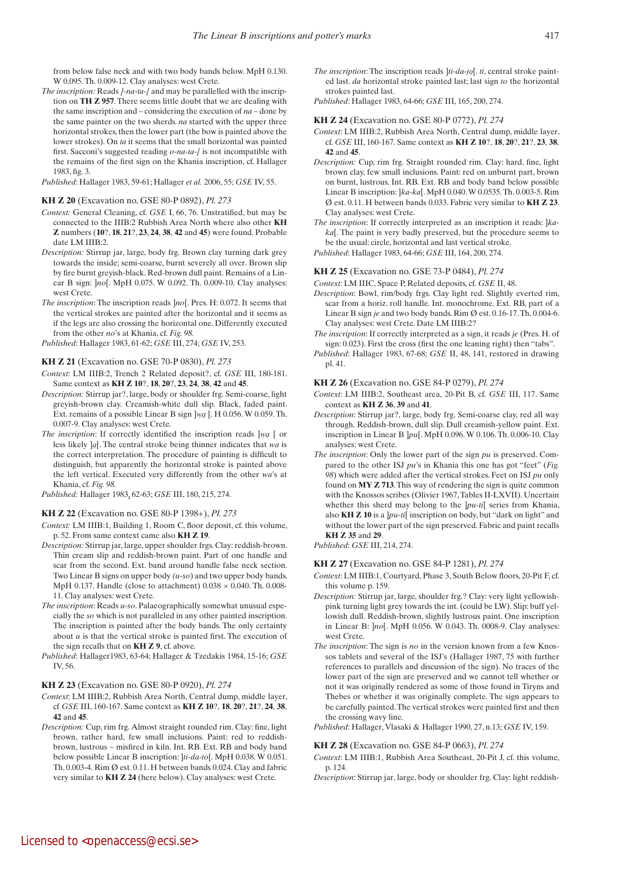from below false neck and with two body bands below. MpH 0.130. W 0.095. Th. 0.009-12. Clay analyses: west Crete.

*The inscription:* Reads *]-na-ta-[* and may be parallelled with the inscription on **TH Z 957**. There seems little doubt that we are dealing with the same inscription and – considering the execution of *na* – done by the same painter on the two sherds. *na* started with the upper three horizontal strokes, then the lower part (the bow is painted above the lower strokes). On *ta* it seems that the small horizontal was painted first. Sacconi's suggested reading *o-na-ta-[* is not incompatible with the remains of the first sign on the Khania inscription, cf. Hallager 1983, fig. 3.

*Published*: Hallager 1983, 59-61; Hallager *et al.* 2006, 55; *GSE* IV, 55.

#### **KH Z 20** (Excavation no. GSE 80-P 0892), *Pl. 273*

- *Context:* General Cleaning, cf. *GSE* I, 66, 76. Unstratified, but may be connected to the IIIB:2 Rubbish Area North where also other **KH Z** numbers (**10**?, **18**, **21**?, **23**, **24**, **38**, **42** and **45**) were found. Probable date LM IIIB:2.
- *Description:* Stirrup jar, large, body frg. Brown clay turning dark grey towards the inside; semi-coarse, burnt severely all over. Brown slip by fire burnt greyish-black. Red-brown dull paint. Remains of a Linear B sign: ]*no*[. MpH 0.075. W 0.092. Th. 0.009-10. Clay analyses: west Crete.
- *The inscription*: The inscription reads ]*no*[. Pres. H: 0.072. It seems that the vertical strokes are painted after the horizontal and it seems as if the legs are also crossing the horizontal one. Differently executed from the other *no*'s at Khania, cf. *Fig. 98.*

*Published*: Hallager 1983, 61-62; *GSE* III, 274; *GSE* IV, 253.

#### **KH Z 21** (Excavation no. GSE 70-P 0830), *Pl. 273*

- *Context*: LM IIIB:2, Trench 2 Related deposit?, cf. *GSE* III, 180-181. Same context as **KH Z 10**?, **18**, **20**?, **23**, **24**, **38**, **42** and **45**.
- *Description:* Stirrup jar?, large, body or shoulder frg. Semi-coarse, light greyish-brown clay. Creamish-white dull slip. Black, faded paint. Ext. remains of a possible Linear B sign ]*w�a�* [. H 0.056. W 0.059. Th. 0.007-9. Clay analyses: west Crete.
- *The inscription*: If correctly identified the inscription reads  $\int w a$  [ or less likely ]*a�*[. The central stroke being thinner indicates that *wa* is the correct interpretation. The procedure of painting is difficult to distinguish, but apparently the horizontal stroke is painted above the left vertical. Executed very differently from the other *wa*'s at Khania, cf. *Fig. 98.*

*Published:* Hallager 1983, 62-63; *GSE* III, 180, 215, 274.

**KH Z 22** (Excavation no. GSE 80-P 1398+), *Pl. 273*

- *Context:* LM IIIB:1, Building 1, Room C, floor deposit, cf. this volume, p. 52. From same context came also **KH Z 19**.
- *Description:* Stirrup jar, large, upper shoulder frgs. Clay: reddish-brown. Thin cream slip and reddish-brown paint. Part of one handle and scar from the second. Ext. band around handle false neck section. Two Linear B signs on upper body *(u-so*) and two upper body bands. MpH 0.137. Handle (close to attachment)  $0.038 \times 0.040$ . Th. 0.008-11. Clay analyses: west Crete.
- *The inscription*: Reads *u-so*. Palaeographically somewhat unusual especially the *so* which is not paralleled in any other painted inscription. The inscription is painted after the body bands. The only certainty about *u* is that the vertical stroke is painted first. The execution of the sign recalls that on **KH Z 9**, cf. above.
- *Published*: Hallager1983, 63-64; Hallager & Tzedakis 1984, 15-16; *GSE* IV, 56.

**KH Z 23** (Excavation no. GSE 80-P 0920), *Pl. 274*

- *Context*: LM IIIB:2, Rubbish Area North, Central dump, middle layer, cf *GSE* III, 160-167. Same context as **KH Z 10**?, **18**, **20**?, **21**?, **24**, **38**, **42** and **45**.
- *Description:* Cup, rim frg. Almost straight rounded rim. Clay: fine, light brown, rather hard, few small inclusions. Paint: red to reddishbrown, lustrous – misfired in kiln. Int. RB. Ext. RB and body band below possible Linear B inscription: ]*ti-da-to*[. MpH 0.038. W 0.051. Th. 0.003-4. Rim  $\emptyset$  est. 0.11. H between bands 0.024. Clay and fabric very similar to **KH Z 24** (here below). Clay analyses: west Crete.

*The inscription*: The inscription reads  $|ti-da-to|$ . *ti*, central stroke painted last. *da* horizontal stroke painted last; last sign *to* the horizontal strokes painted last.

*Published*: Hallager 1983, 64-66; *GSE* III, 165, 200, 274.

## **KH Z 24** (Excavation no. GSE 80-P 0772), *Pl. 274*

- *Context*: LM IIIB:2, Rubbish Area North, Central dump, middle layer, cf. *GSE* III, 160-167. Same context as **KH Z 10**?, **18**, **20**?, **21**?, **23**, **38**, **42** and **45**.
- *Description:* Cup, rim frg. Straight rounded rim. Clay: hard, fine, light brown clay, few small inclusions. Paint: red on unburnt part, brown on burnt, lustrous. Int. RB. Ext. RB and body band below possible Linear B inscription: ]*ka-ka*[. MpH 0.040. W 0.0535. Th. 0.003-5. Rim Ø est. 0.11. H between bands 0.033. Fabric very similar to **KH Z 23**. Clay analyses: west Crete.
- *The inscription*: If correctly interpreted as an inscription it reads: ]*kaka*[. The paint is very badly preserved, but the procedure seems to be the usual: circle, horizontal and last vertical stroke.
- *Published*: Hallager 1983, 64-66; *GSE* III, 164, 200, 274.

#### **KH Z 25** (Excavation no. GSE 73-P 0484), *Pl. 274*

*Context*: LM IIIC, Space P, Related deposits, cf. *GSE* II, 48.

- *Description*: Bowl, rim/body frgs. Clay light red. Slightly everted rim, scar from a horiz. roll handle. Int. monochrome. Ext. RB, part of a Linear B sign *je* and two body bands. Rim Ø est. 0.16-17. Th. 0.004-6. Clay analyses: west Crete. Date LM IIIB:2?
- *The inscription*: If correctly interpreted as a sign, it reads *je* (Pres. H. of sign: 0.023). First the cross (first the one leaning right) then "tabs".
- *Published*: Hallager 1983, 67-68; *GSE* II, 48, 141, restored in drawing pl. 41.

**KH Z 26** (Excavation no. GSE 84-P 0279), *Pl. 274*

- *Context*: LM IIIB:2, Southeast area, 20-Pit B, cf. *GSE* III, 117. Same context as **KH Z 36**, **39** and **41**.
- *Description*: Stirrup jar?, large, body frg. Semi-coarse clay, red all way through. Reddish-brown, dull slip. Dull creamish-yellow paint. Ext. inscription in Linear B ]*pu*[. MpH 0.096. W 0.106. Th. 0.006-10. Clay analyses: west Crete.
- *The inscription*: Only the lower part of the sign *pu* is preserved. Compared to the other ISJ *pu*'s in Khania this one has got "feet" (*Fig. 98*) which were added after the vertical strokes. Feet on ISJ *pu* only found on **MY Z 713**. This way of rendering the sign is quite common with the Knossos scribes (Olivier 1967, Tables II-LXVII). Uncertain whether this sherd may belong to the  $[pu-ti]$  series from Khania, also **KH Z 10** is a ]*pu-ti*[ inscription on body, but "dark on light" and without the lower part of the sign preserved. Fabric and paint recalls **KH Z 35** and **29**.
- *Published*: *GSE* III, 214, 274.

#### **KH Z 27** (Excavation no. GSE 84-P 1281), *Pl. 274*

- *Context*: LM IIIB:1, Courtyard, Phase 3, South Below floors, 20-Pit F, cf. this volume p. 159.
- *Description:* Stirrup jar, large, shoulder frg.? Clay: very light yellowishpink turning light grey towards the int. (could be LW). Slip: buff yellowish dull. Reddish-brown, slightly lustrous paint. One inscription in Linear B: ]*no*[. MpH 0.056. W 0.043. Th. 0008-9. Clay analyses: west Crete.
- *The inscription*: The sign is *no* in the version known from a few Knossos tablets and several of the ISJ's (Hallager 1987, 75 with further references to parallels and discussion of the sign). No traces of the lower part of the sign are preserved and we cannot tell whether or not it was originally rendered as some of those found in Tiryns and Thebes or whether it was originally complete. The sign appears to be carefully painted. The vertical strokes were painted first and then the crossing wavy line.

*Published*: Hallager, Vlasaki & Hallager 1990, 27, n.13; *GSE* IV, 159.

#### **KH Z 28** (Excavation no. GSE 84-P 0663), *Pl. 274*

*Context*: LM IIIB:1, Rubbish Area Southeast, 20-Pit J, cf. this volume, p. 124.

*Description*: Stirrup jar, large, body or shoulder frg. Clay: light reddish-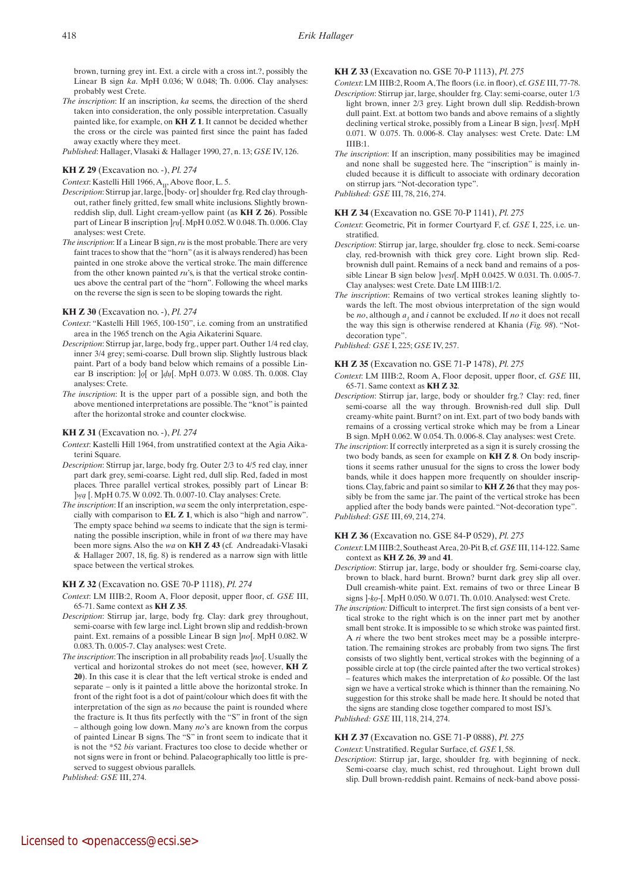brown, turning grey int. Ext. a circle with a cross int.?, possibly the Linear B sign *ka*. MpH 0.036; W 0.048; Th. 0.006. Clay analyses: probably west Crete.

*The inscription*: If an inscription, *ka* seems, the direction of the sherd taken into consideration, the only possible interpretation. Casually painted like, for example, on **KH Z 1**. It cannot be decided whether the cross or the circle was painted first since the paint has faded away exactly where they meet.

*Published*: Hallager, Vlasaki & Hallager 1990, 27, n. 13; *GSE* IV, 126.

#### **KH Z 29** (Excavation no. -), *Pl. 274*

*Context*: Kastelli Hill 1966, A<sub>II</sub>, Above floor, L. 5.

- *Description*: Stirrup jar, large, [body- or] shoulder frg. Red clay throughout, rather finely gritted, few small white inclusions. Slightly brownreddish slip, dull. Light cream-yellow paint (as **KH Z 26**). Possible part of Linear B inscription  $|r\psi|$ . MpH 0.052. W 0.048. Th. 0.006. Clay analyses: west Crete.
- *The inscription*: If a Linear B sign, *ru* is the most probable. There are very faint traces to show that the "horn" (as it is always rendered) has been painted in one stroke above the vertical stroke. The main difference from the other known painted *ru*'s, is that the vertical stroke continues above the central part of the "horn". Following the wheel marks on the reverse the sign is seen to be sloping towards the right.

## **KH Z 30** (Excavation no. -), *Pl. 274*

- *Context*: "Kastelli Hill 1965, 100-150", i.e. coming from an unstratified area in the 1965 trench on the Agia Aikaterini Square.
- *Description*: Stirrup jar, large, body frg., upper part. Outher 1/4 red clay, inner 3/4 grey; semi-coarse. Dull brown slip. Slightly lustrous black paint. Part of a body band below which remains of a possible Linear B inscription:  $|o[$  or  $]$ *d*<sub> $u$ </sub>[. MpH 0.073. W 0.085. Th. 0.008. Clay analyses: Crete.
- *The inscription*: It is the upper part of a possible sign, and both the above mentioned interpretations are possible. The "knot" is painted after the horizontal stroke and counter clockwise.

## **KH Z 31** (Excavation no. -), *Pl. 274*

- *Context*: Kastelli Hill 1964, from unstratified context at the Agia Aikaterini Square.
- *Description*: Stirrup jar, large, body frg. Outer 2/3 to 4/5 red clay, inner part dark grey, semi-coarse. Light red, dull slip. Red, faded in most places. Three parallel vertical strokes, possibly part of Linear B: ]*w�a�* [. MpH 0.75. W 0.092. Th. 0.007-10. Clay analyses: Crete.
- *The inscription*: If an inscription, *wa* seem the only interpretation, especially with comparison to **EL Z 1**, which is also "high and narrow". The empty space behind *wa* seems to indicate that the sign is terminating the possible inscription, while in front of *wa* there may have been more signs. Also the *wa* on **KH Z 43** (cf. Andreadaki-Vlasaki & Hallager 2007, 18, fig. 8) is rendered as a narrow sign with little space between the vertical strokes.

#### **KH Z 32** (Excavation no. GSE 70-P 1118), *Pl. 274*

- *Context*: LM IIIB:2, Room A, Floor deposit, upper floor, cf. *GSE* III, 65-71. Same context as **KH Z 35**.
- *Description*: Stirrup jar, large, body frg. Clay: dark grey throughout, semi-coarse with few large incl. Light brown slip and reddish-brown paint. Ext. remains of a possible Linear B sign ]*no*[. MpH 0.082. W 0.083. Th. 0.005-7. Clay analyses: west Crete.
- *The inscription*: The inscription in all probability reads ]*no*[. Usually the vertical and horizontal strokes do not meet (see, however, **KH Z 20**). In this case it is clear that the left vertical stroke is ended and separate – only is it painted a little above the horizontal stroke. In front of the right foot is a dot of paint/colour which does fit with the interpretation of the sign as *no* because the paint is rounded where the fracture is. It thus fits perfectly with the "S" in front of the sign – although going low down. Many *no*'s are known from the corpus of painted Linear B signs. The "S" in front seem to indicate that it is not the \*52 *bis* variant. Fractures too close to decide whether or not signs were in front or behind. Palaeographically too little is preserved to suggest obvious parallels.

*Published: GSE* III, 274.

**KH Z 33** (Excavation no. GSE 70-P 1113), *Pl. 275*

*Context*: LM IIIB:2, Room A, The floors (i.e. in floor), cf. *GSE* III, 77-78.

- *Description*: Stirrup jar, large, shoulder frg. Clay: semi-coarse, outer 1/3 light brown, inner 2/3 grey. Light brown dull slip. Reddish-brown dull paint. Ext. at bottom two bands and above remains of a slightly declining vertical stroke, possibly from a Linear B sign, ]*vest*[. MpH 0.071. W 0.075. Th. 0.006-8. Clay analyses: west Crete. Date: LM IIIB:1.
- *The inscription*: If an inscription, many possibilities may be imagined and none shall be suggested here. The "inscription" is mainly included because it is difficult to associate with ordinary decoration on stirrup jars. "Not-decoration type". *Published: GSE* III, 78, 216, 274.

## **KH Z 34** (Excavation no. GSE 70-P 1141), *Pl. 275*

- *Context*: Geometric, Pit in former Courtyard F, cf. *GSE* I, 225, i.e. unstratified.
- *Description*: Stirrup jar, large, shoulder frg. close to neck. Semi-coarse clay, red-brownish with thick grey core. Light brown slip. Redbrownish dull paint. Remains of a neck band and remains of a possible Linear B sign below ]*vest*[. MpH 0.0425. W 0.031. Th. 0.005-7. Clay analyses: west Crete. Date LM IIIB:1/2.
- *The inscription*: Remains of two vertical strokes leaning slightly towards the left. The most obvious interpretation of the sign would be *no*, although *a<sub>3</sub>* and *i* cannot be excluded. If *no* it does not recall the way this sign is otherwise rendered at Khania (*Fig. 98*). "Notdecoration type".

*Published: GSE* I, 225; *GSE* IV, 257.

**KH Z 35** (Excavation no. GSE 71-P 1478), *Pl. 275*

- *Context*: LM IIIB:2, Room A, Floor deposit, upper floor, cf. *GSE* III, 65-71. Same context as **KH Z 32**.
- *Description*: Stirrup jar, large, body or shoulder frg.? Clay: red, finer semi-coarse all the way through. Brownish-red dull slip. Dull creamy-white paint. Burnt? on int. Ext. part of two body bands with remains of a crossing vertical stroke which may be from a Linear B sign. MpH 0.062. W 0.054. Th. 0.006-8. Clay analyses: west Crete.
- *The inscription*: If correctly interpreted as a sign it is surely crossing the two body bands, as seen for example on **KH Z 8**. On body inscriptions it seems rather unusual for the signs to cross the lower body bands, while it does happen more frequently on shoulder inscriptions. Clay, fabric and paint so similar to **KH Z 26** that they may possibly be from the same jar. The paint of the vertical stroke has been applied after the body bands were painted. "Not-decoration type". *Published*: *GSE* III, 69, 214, 274.

#### **KH Z 36** (Excavation no. GSE 84-P 0529), *Pl. 275*

- *Context*: LM IIIB:2, Southeast Area, 20-Pit B, cf. *GSE* III, 114-122. Same context as **KH Z 26**, **39** and **41**.
- *Description*: Stirrup jar, large, body or shoulder frg. Semi-coarse clay, brown to black, hard burnt. Brown? burnt dark grey slip all over. Dull creamish-white paint. Ext. remains of two or three Linear B signs ]*-k�o�*-[. MpH 0.050. W 0.071. Th. 0.010. Analysed: west Crete.
- *The inscription:* Difficult to interpret. The first sign consists of a bent vertical stroke to the right which is on the inner part met by another small bent stroke. It is impossible to se which stroke was painted first. A *ri* where the two bent strokes meet may be a possible interpretation. The remaining strokes are probably from two signs. The first consists of two slightly bent, vertical strokes with the beginning of a possible circle at top (the circle painted after the two vertical strokes) – features which makes the interpretation of *ko* possible. Of the last sign we have a vertical stroke which is thinner than the remaining. No suggestion for this stroke shall be made here. It should be noted that the signs are standing close together compared to most ISJ's.

*Published: GSE* III, 118, 214, 274.

## **KH Z 37** (Excavation no. GSE 71-P 0888), *Pl. 275*

#### *Context*: Unstratified. Regular Surface, cf. *GSE* I, 58.

*Description*: Stirrup jar, large, shoulder frg. with beginning of neck. Semi-coarse clay, much schist, red throughout. Light brown dull slip. Dull brown-reddish paint. Remains of neck-band above possi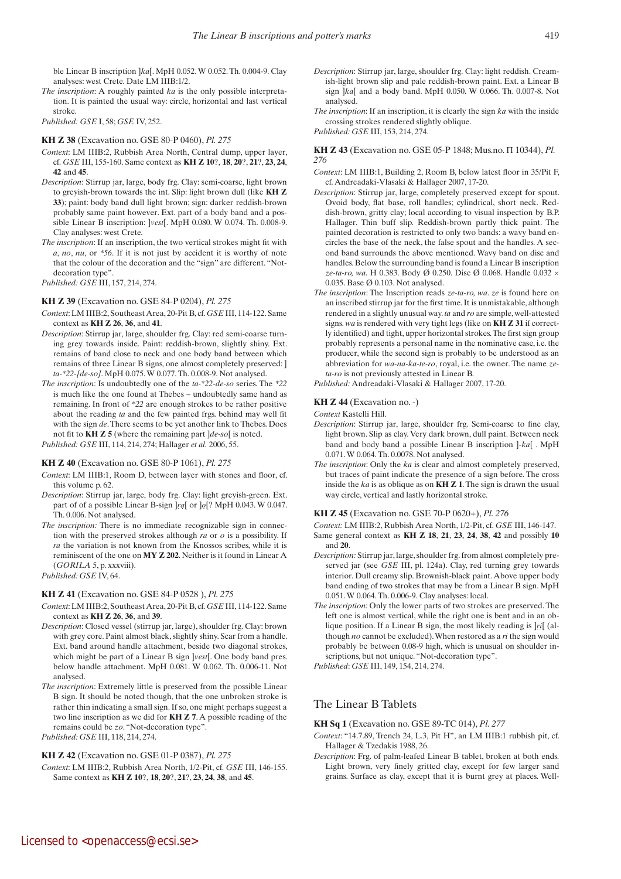ble Linear B inscription ]*ka*[. MpH 0.052. W 0.052. Th. 0.004-9. Clay analyses: west Crete. Date LM IIIB:1/2.

*The inscription*: A roughly painted *ka* is the only possible interpretation. It is painted the usual way: circle, horizontal and last vertical stroke.

*Published: GSE* I, 58; *GSE* IV, 252.

**KH Z 38** (Excavation no. GSE 80-P 0460), *Pl. 275*

- *Context*: LM IIIB:2, Rubbish Area North, Central dump, upper layer, cf. *GSE* III, 155-160. Same context as **KH Z 10**?, **18**, **20**?, **21**?, **23**, **24**, **42** and **45**.
- *Description*: Stirrup jar, large, body frg. Clay: semi-coarse, light brown to greyish-brown towards the int. Slip: light brown dull (like **KH Z 33**); paint: body band dull light brown; sign: darker reddish-brown probably same paint however. Ext. part of a body band and a possible Linear B inscription: ]*vest*[. MpH 0.080. W 0.074. Th. 0.008-9. Clay analyses: west Crete.
- *The inscription*: If an inscription, the two vertical strokes might fit with *a*, *no*, *nu*, or *\*56*. If it is not just by accident it is worthy of note that the colour of the decoration and the "sign" are different. "Notdecoration type".

*Published: GSE* III, 157, 214, 274.

## **KH Z 39** (Excavation no. GSE 84-P 0204), *Pl. 275*

- *Context*: LM IIIB:2, Southeast Area, 20-Pit B, cf. *GSE* III, 114-122. Same context as **KH Z 26**, **36**, and **41**.
- *Description*: Stirrup jar, large, shoulder frg. Clay: red semi-coarse turning grey towards inside. Paint: reddish-brown, slightly shiny. Ext. remains of band close to neck and one body band between which remains of three Linear B signs, one almost completely preserved: ] *ta-\*22-[de-so]*. MpH 0.075. W 0.077. Th. 0.008-9. Not analysed.
- *The inscription*: Is undoubtedly one of the *ta-\*22-de-so* series. The *\*22* is much like the one found at Thebes – undoubtedly same hand as remaining. In front of *\*22* are enough strokes to be rather positive about the reading *ta* and the few painted frgs. behind may well fit with the sign *de*. There seems to be yet another link to Thebes. Does not fit to **KH Z 5** (where the remaining part ]*de-so*[ is noted.

*Published: GSE* III, 114, 214, 274; Hallager *et al.* 2006, 55.

#### **KH Z 40** (Excavation no. GSE 80-P 1061), *Pl. 275*

- *Context*: LM IIIB:1, Room D, between layer with stones and floor, cf. this volume p. 62.
- *Description*: Stirrup jar, large, body frg. Clay: light greyish-green. Ext. part of of a possible Linear B-sign ]*r�a�*[ or ]*o�*[? MpH 0.043. W 0.047. Th. 0.006. Not analysed.
- *The inscription:* There is no immediate recognizable sign in connection with the preserved strokes although *ra* or *o* is a possibility. If *ra* the variation is not known from the Knossos scribes, while it is reminiscent of the one on **MY Z 202**. Neither is it found in Linear A (*GORILA* 5, p. xxxviii).
- *Published: GSE* IV, 64.

#### **KH Z 41** (Excavation no. GSE 84-P 0528 ), *Pl. 275*

- *Context*: LM IIIB:2, Southeast Area, 20-Pit B, cf. *GSE* III, 114-122. Same context as **KH Z 26**, **36**, and **39**.
- *Description*: Closed vessel (stirrup jar, large), shoulder frg. Clay: brown with grey core. Paint almost black, slightly shiny. Scar from a handle. Ext. band around handle attachment, beside two diagonal strokes, which might be part of a Linear B sign ]*vest*[. One body band pres. below handle attachment. MpH 0.081. W 0.062. Th. 0.006-11. Not analysed.
- *The inscription*: Extremely little is preserved from the possible Linear B sign. It should be noted though, that the one unbroken stroke is rather thin indicating a small sign. If so, one might perhaps suggest a two line inscription as we did for **KH Z 7**. A possible reading of the remains could be *zo*. "Not-decoration type".

*Published: GSE* III, 118, 214, 274.

**KH Z 42** (Excavation no. GSE 01-P 0387), *Pl. 275*

*Context*: LM IIIB:2, Rubbish Area North, 1/2-Pit, cf. *GSE* III, 146-155. Same context as **KH Z 10**?, **18**, **20**?, **21**?, **23**, **24**, **38**, and **45**.

*Description*: Stirrup jar, large, shoulder frg. Clay: light reddish. Creamish-light brown slip and pale reddish-brown paint. Ext. a Linear B sign ]*ka*[ and a body band. MpH 0.050. W 0.066. Th. 0.007-8. Not analysed.

*The inscription*: If an inscription, it is clearly the sign *ka* with the inside crossing strokes rendered slightly oblique. *Published: GSE* III, 153, 214, 274.

**KH Z 43** (Excavation no. GSE 05-P 1848; Mus.no. Π 10344), *Pl. 276*

*Context*: LM IIIB:1, Building 2, Room B, below latest floor in 35/Pit F, cf. Andreadaki-Vlasaki & Hallager 2007, 17-20.

- *Description*: Stirrup jar, large, completely preserved except for spout. Ovoid body, flat base, roll handles; cylindrical, short neck. Reddish-brown, gritty clay; local according to visual inspection by B.P. Hallager. Thin buff slip. Reddish-brown partly thick paint. The painted decoration is restricted to only two bands: a wavy band encircles the base of the neck, the false spout and the handles. A second band surrounds the above mentioned. Wavy band on disc and handles. Below the surrounding band is found a Linear B inscription *ze-ta-ro, wa*. H 0.383. Body Ø 0.250. Disc Ø 0.068. Handle 0.032 × 0.035. Base Ø 0.103. Not analysed.
- *The inscription*: The Inscription reads *ze-ta-ro, wa*. *ze* is found here on an inscribed stirrup jar for the first time. It is unmistakable, although rendered in a slightly unusual way. *ta* and *ro* are simple, well-attested signs. *wa* is rendered with very tight legs (like on **KH Z 31** if correctly identified) and tight, upper horizontal strokes. The first sign group probably represents a personal name in the nominative case, i.e. the producer, while the second sign is probably to be understood as an abbreviation for *wa-na-ka-te-ro*, royal, i.e. the owner. The name *zeta-ro* is not previously attested in Linear B.
- *Published:* Andreadaki-Vlasaki & Hallager 2007, 17-20.

**KH Z 44** (Excavation no. -)

*Context* Kastelli Hill.

- *Description*: Stirrup jar, large, shoulder frg. Semi-coarse to fine clay, light brown. Slip as clay. Very dark brown, dull paint. Between neck band and body band a possible Linear B inscription ]-*ka*[ . MpH 0.071. W 0.064. Th. 0.0078. Not analysed.
- *The inscription*: Only the *ka* is clear and almost completely preserved, but traces of paint indicate the presence of a sign before. The cross inside the *ka* is as oblique as on **KH Z 1**. The sign is drawn the usual way circle, vertical and lastly horizontal stroke.

**KH Z 45** (Excavation no. GSE 70-P 0620+), *Pl. 276*

- *Context:* LM IIIB:2, Rubbish Area North, 1/2-Pit, cf. *GSE* III, 146-147. Same general context as **KH Z 18**, **21**, **23**, **24**, **38**, **42** and possibly **10** and **20**.
- *Description:* Stirrup jar, large, shoulder frg. from almost completely preserved jar (see *GSE* III, pl. 124a). Clay, red turning grey towards interior. Dull creamy slip. Brownish-black paint. Above upper body band ending of two strokes that may be from a Linear B sign. MpH 0.051. W 0.064. Th. 0.006-9. Clay analyses: local.
- *The inscription*: Only the lower parts of two strokes are preserved. The left one is almost vertical, while the right one is bent and in an oblique position. If a Linear B sign, the most likely reading is  $|r_j|$  (although *no* cannot be excluded). When restored as a *ri* the sign would probably be between 0.08-9 high, which is unusual on shoulder inscriptions, but not unique. "Not-decoration type".

*Published*: *GSE* III, 149, 154, 214, 274.

## The Linear B Tablets

## **KH Sq 1** (Excavation no. GSE 89-TC 014), *Pl. 277*

- *Context*: "14.7.89, Trench 24, L.3, Pit H", an LM IIIB:1 rubbish pit, cf. Hallager & Tzedakis 1988, 26.
- *Description*: Frg. of palm-leafed Linear B tablet, broken at both ends. Light brown, very finely gritted clay, except for few larger sand grains. Surface as clay, except that it is burnt grey at places. Well-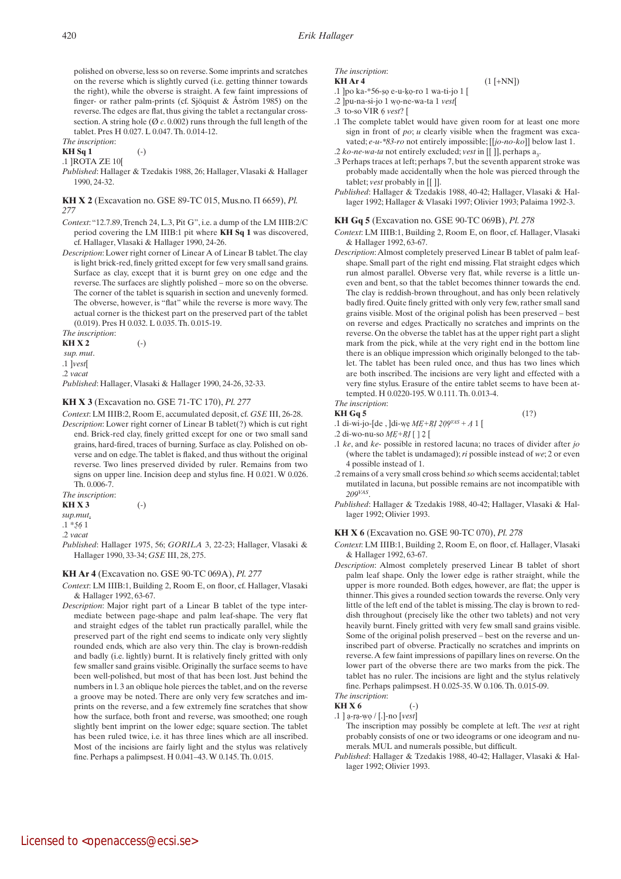polished on obverse, less so on reverse. Some imprints and scratches on the reverse which is slightly curved (i.e. getting thinner towards the right), while the obverse is straight. A few faint impressions of finger- or rather palm-prints (cf. Sjöquist & Åström 1985) on the reverse. The edges are flat, thus giving the tablet a rectangular crosssection. A string hole ( $\emptyset$  *c*. 0.002) runs through the full length of the tablet. Pres H 0.027. L 0.047. Th. 0.014-12.

*The inscription*:

**KH Sq 1** (-)

.1 ]ROTA ZE 10[

*Published*: Hallager & Tzedakis 1988, 26; Hallager, Vlasaki & Hallager 1990, 24-32.

- KH X 2 (Excavation no. GSE 89-TC 015, Mus.no.  $\Pi$  6659), *Pl. 277*
- *Context*: "12.7.89, Trench 24, L.3, Pit G", i.e. a dump of the LM IIIB:2/C period covering the LM IIIB:1 pit where **KH Sq 1** was discovered, cf. Hallager, Vlasaki & Hallager 1990, 24-26.
- *Description*: Lower right corner of Linear A of Linear B tablet. The clay is light brick-red, finely gritted except for few very small sand grains. Surface as clay, except that it is burnt grey on one edge and the reverse. The surfaces are slightly polished – more so on the obverse. The corner of the tablet is squarish in section and unevenly formed. The obverse, however, is "flat" while the reverse is more wavy. The actual corner is the thickest part on the preserved part of the tablet (0.019). Pres H 0.032. L 0.035. Th. 0.015-19.

*The inscription*: **KH X 2** (-)

*sup. mut*.

.1 ]*vest*[

.2 *vacat*

*Published*: Hallager, Vlasaki & Hallager 1990, 24-26, 32-33.

#### **KH X 3** (Excavation no. GSE 71-TC 170), *Pl. 277*

- *Context*: LM IIIB:2, Room E, accumulated deposit, cf. *GSE* III, 26-28.
- *Description*: Lower right corner of Linear B tablet(?) which is cut right end. Brick-red clay, finely gritted except for one or two small sand grains, hard-fired, traces of burning. Surface as clay. Polished on obverse and on edge. The tablet is flaked, and thus without the original reverse. Two lines preserved divided by ruler. Remains from two signs on upper line. Incision deep and stylus fine. H 0.021. W 0.026. Th. 0.006-7.

*The inscription*:

**KH X 3** (-) *sup.mut*.

.1 \**5�6�* 1

- .2 *vacat*
- *Published*: Hallager 1975, 56; *GORILA* 3, 22-23; Hallager, Vlasaki & Hallager 1990, 33-34; *GSE* III, 28, 275.

## **KH Ar 4** (Excavation no. GSE 90-TC 069A), *Pl. 277*

- *Context*: LM IIIB:1, Building 2, Room E, on floor, cf. Hallager, Vlasaki & Hallager 1992, 63-67.
- *Description*: Major right part of a Linear B tablet of the type intermediate between page-shape and palm leaf-shape. The very flat and straight edges of the tablet run practically parallel, while the preserved part of the right end seems to indicate only very slightly rounded ends, which are also very thin. The clay is brown-reddish and badly (i.e. lightly) burnt. It is relatively finely gritted with only few smaller sand grains visible. Originally the surface seems to have been well-polished, but most of that has been lost. Just behind the numbers in 1, 3 an oblique hole pierces the tablet, and on the reverse a groove may be noted. There are only very few scratches and imprints on the reverse, and a few extremely fine scratches that show how the surface, both front and reverse, was smoothed; one rough slightly bent imprint on the lower edge; square section. The tablet has been ruled twice, i.e. it has three lines which are all inscribed. Most of the incisions are fairly light and the stylus was relatively fine. Perhaps a palimpsest. H 0.041–43. W 0.145. Th. 0.015.

## *The inscription*:

**KH Ar 4** (1 [+NN])

- .1 ]po ka-\*56-s*�*o*�* e-u-k*�*o*�*-ro 1 wa-ti-jo 1 [
- .2 ]pu-na-si-jo 1 w*�*o*�*-ne-wa-ta 1 *vest*[
- .3 to-so VIR 6*� vest*? [
- .1 The complete tablet would have given room for at least one more sign in front of *po*; *u* clearly visible when the fragment was excavated; *e-u-\*83-ro* not entirely impossible; [[*jo-no-ko*]] below last 1.
- .2 *ko-ne-wa-ta* not entirely excluded; *vest* in [[]], perhaps a<sub>3</sub>.
- .3 Perhaps traces at left; perhaps 7, but the seventh apparent stroke was probably made accidentally when the hole was pierced through the tablet; *vest* probably in [[ ]].
- *Published*: Hallager & Tzedakis 1988, 40-42; Hallager, Vlasaki & Hallager 1992; Hallager & Vlasaki 1997; Olivier 1993; Palaima 1992-3.

## **KH Gq 5** (Excavation no. GSE 90-TC 069B), *Pl. 278*

- *Context*: LM IIIB:1, Building 2, Room E, on floor, cf. Hallager, Vlasaki & Hallager 1992, 63-67.
- *Description*: Almost completely preserved Linear B tablet of palm leafshape. Small part of the right end missing. Flat straight edges which run almost parallel. Obverse very flat, while reverse is a little uneven and bent, so that the tablet becomes thinner towards the end. The clay is reddish-brown throughout, and has only been relatively badly fired. Quite finely gritted with only very few, rather small sand grains visible. Most of the original polish has been preserved – best on reverse and edges. Practically no scratches and imprints on the reverse. On the obverse the tablet has at the upper right part a slight mark from the pick, while at the very right end in the bottom line there is an oblique impression which originally belonged to the tablet. The tablet has been ruled once, and thus has two lines which are both inscribed. The incisions are very light and effected with a very fine stylus. Erasure of the entire tablet seems to have been attempted. H 0.0220-195. W 0.111. Th. 0.013-4.

# *The inscription*:

**KH Gq 5** (1?)

- .1 di-wi-jo-[de,]di-we  $ME+RI$  209VAS + A 1 [
- .2 di-wo-nu-so *M�E�+R�I�*[ ] 2*�* [
- .1 *ke*, and *ke* possible in restored lacuna; no traces of divider after *jo* (where the tablet is undamaged); *ri* possible instead of *we*; 2 or even 4 possible instead of 1.
- .2 remains of a very small cross behind *so* which seems accidental; tablet mutilated in lacuna, but possible remains are not incompatible with *209VAS*.
- *Published*: Hallager & Tzedakis 1988, 40-42; Hallager, Vlasaki & Hallager 1992; Olivier 1993.

## **KH X 6** (Excavation no. GSE 90-TC 070), *Pl. 278*

- *Context*: LM IIIB:1, Building 2, Room E, on floor, cf. Hallager, Vlasaki & Hallager 1992, 63-67.
- *Description*: Almost completely preserved Linear B tablet of short palm leaf shape. Only the lower edge is rather straight, while the upper is more rounded. Both edges, however, are flat; the upper is thinner. This gives a rounded section towards the reverse. Only very little of the left end of the tablet is missing. The clay is brown to reddish throughout (precisely like the other two tablets) and not very heavily burnt. Finely gritted with very few small sand grains visible. Some of the original polish preserved – best on the reverse and uninscribed part of obverse. Practically no scratches and imprints on reverse. A few faint impressions of papillary lines on reverse. On the lower part of the obverse there are two marks from the pick. The tablet has no ruler. The incisions are light and the stylus relatively fine. Perhaps palimpsest. H 0.025-35. W 0.106. Th. 0.015-09.





.1 ] a*�*-r*�*a*�*-ẉọ / [.]-no [*vest*]

The inscription may possibly be complete at left. The *vest* at right probably consists of one or two ideograms or one ideogram and numerals. MUL and numerals possible, but difficult.

*Published*: Hallager & Tzedakis 1988, 40-42; Hallager, Vlasaki & Hallager 1992; Olivier 1993.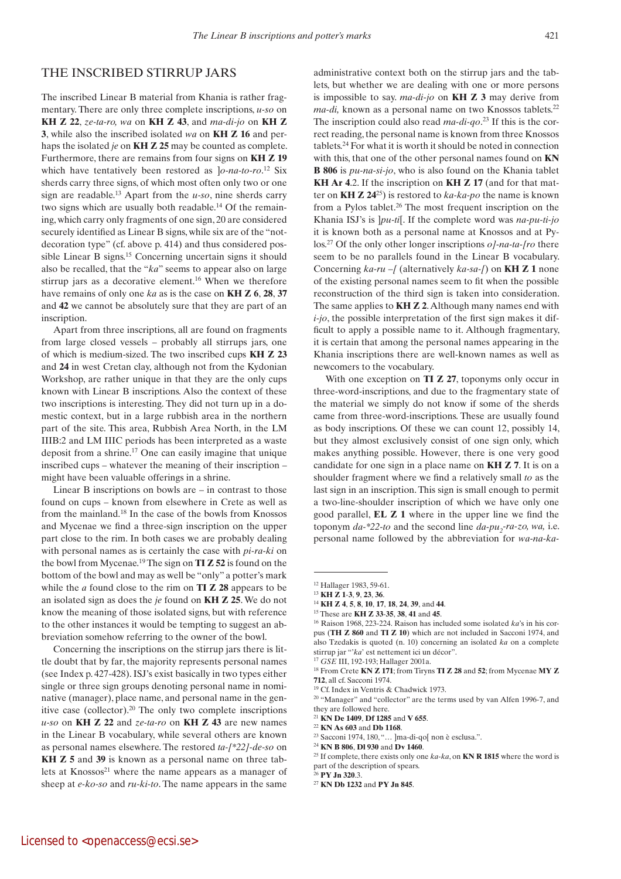## The inscribed stirrup jars

The inscribed Linear B material from Khania is rather fragmentary. There are only three complete inscriptions, *u-so* on **KH Z 22**, *ze-ta-ro, wa* on **KH Z 43**, and *ma-di-jo* on **KH Z 3**, while also the inscribed isolated *wa* on **KH Z 16** and perhaps the isolated *je* on **KH Z 25** may be counted as complete. Furthermore, there are remains from four signs on **KH Z 19** which have tentatively been restored as ]*o-na-to-ro*. 12 Six sherds carry three signs, of which most often only two or one sign are readable.<sup>13</sup> Apart from the  $u$ -so, nine sherds carry two signs which are usually both readable.14 Of the remaining, which carry only fragments of one sign, 20 are considered securely identified as Linear B signs, while six are of the "notdecoration type" (cf. above p. 414) and thus considered possible Linear B signs.15 Concerning uncertain signs it should also be recalled, that the "*ka*" seems to appear also on large stirrup jars as a decorative element.<sup>16</sup> When we therefore have remains of only one *ka* as is the case on **KH Z 6**, **28**, **37** and **42** we cannot be absolutely sure that they are part of an inscription.

Apart from three inscriptions, all are found on fragments from large closed vessels – probably all stirrups jars, one of which is medium-sized. The two inscribed cups **KH Z 23** and **24** in west Cretan clay, although not from the Kydonian Workshop, are rather unique in that they are the only cups known with Linear B inscriptions. Also the context of these two inscriptions is interesting. They did not turn up in a domestic context, but in a large rubbish area in the northern part of the site. This area, Rubbish Area North, in the LM IIIB:2 and LM IIIC periods has been interpreted as a waste deposit from a shrine.17 One can easily imagine that unique inscribed cups – whatever the meaning of their inscription – might have been valuable offerings in a shrine.

Linear B inscriptions on bowls are – in contrast to those found on cups – known from elsewhere in Crete as well as from the mainland.18 In the case of the bowls from Knossos and Mycenae we find a three-sign inscription on the upper part close to the rim. In both cases we are probably dealing with personal names as is certainly the case with *pi-ra-ki* on the bowl from Mycenae.19 The sign on **TI Z 52** is found on the bottom of the bowl and may as well be "only" a potter's mark while the *a* found close to the rim on **TI Z 28** appears to be an isolated sign as does the *je* found on **KH Z 25**. We do not know the meaning of those isolated signs, but with reference to the other instances it would be tempting to suggest an abbreviation somehow referring to the owner of the bowl.

Concerning the inscriptions on the stirrup jars there is little doubt that by far, the majority represents personal names (see Index p. 427-428). ISJ's exist basically in two types either single or three sign groups denoting personal name in nominative (manager), place name, and personal name in the genitive case (collector).20 The only two complete inscriptions *u-so* on **KH Z 22** and *ze-ta-ro* on **KH Z 43** are new names in the Linear B vocabulary, while several others are known as personal names elsewhere. The restored *ta-[\*22]-de-so* on **KH Z 5** and **39** is known as a personal name on three tablets at Knossos<sup>21</sup> where the name appears as a manager of sheep at *e-ko-so* and *ru-ki-to*. The name appears in the same administrative context both on the stirrup jars and the tablets, but whether we are dealing with one or more persons is impossible to say. *ma-di-jo* on **KH Z 3** may derive from *ma-di*, known as a personal name on two Knossos tablets.<sup>22</sup> The inscription could also read *ma-di-qo*. 23 If this is the correct reading, the personal name is known from three Knossos tablets.24 For what it is worth it should be noted in connection with this, that one of the other personal names found on **KN B 806** is *pu-na-si-jo*, who is also found on the Khania tablet **KH Ar 4**.2. If the inscription on **KH Z 17** (and for that matter on **KH Z 24**25) is restored to *ka-ka-po* the name is known from a Pylos tablet.26 The most frequent inscription on the Khania ISJ's is ]*pu-ti*[. If the complete word was *na-pu-ti-jo* it is known both as a personal name at Knossos and at Pylos.27 Of the only other longer inscriptions *o]-na-ta-[ro* there seem to be no parallels found in the Linear B vocabulary. Concerning *ka-ru –[* (alternatively *ka-sa-[*) on **KH Z 1** none of the existing personal names seem to fit when the possible reconstruction of the third sign is taken into consideration. The same applies to **KH Z 2**. Although many names end with *i-jo*, the possible interpretation of the first sign makes it difficult to apply a possible name to it. Although fragmentary, it is certain that among the personal names appearing in the Khania inscriptions there are well-known names as well as newcomers to the vocabulary.

With one exception on **TI Z 27**, toponyms only occur in three-word-inscriptions, and due to the fragmentary state of the material we simply do not know if some of the sherds came from three-word-inscriptions. These are usually found as body inscriptions. Of these we can count 12, possibly 14, but they almost exclusively consist of one sign only, which makes anything possible. However, there is one very good candidate for one sign in a place name on **KH Z 7**. It is on a shoulder fragment where we find a relatively small *to* as the last sign in an inscription. This sign is small enough to permit a two-line-shoulder inscription of which we have only one good parallel, **EL Z 1** where in the upper line we find the toponym  $da$ -\*22-to and the second line  $da$ - $pu$ - $ra$ -zo, wa, i.e. personal name followed by the abbreviation for *wa-na-ka-*

<sup>14</sup> **KH Z 4**, **5**, **8**, **10**, **17**, **18**, **24**, **39**, and **44**.

<sup>12</sup> Hallager 1983, 59-61.

<sup>13</sup> **KH Z 1**-**3**, **9**, **23**, **36**.

<sup>15</sup> These are **KH Z 33**-**35**, **38**, **41** and **45**.

<sup>16</sup> Raison 1968, 223-224. Raison has included some isolated *ka*'s in his corpus (**TH Z 860** and **TI Z 10**) which are not included in Sacconi 1974, and also Tzedakis is quoted (n. 10) concerning an isolated *ka* on a complete stirrup jar "'*ka*' est nettement ici un décor".

<sup>17</sup> *GSE* III, 192-193; Hallager 2001a.

<sup>18</sup> From Crete **KN Z 171**; from Tiryns **TI Z 28** and **52**; from Mycenae **MY Z 712**, all cf. Sacconi 1974.

<sup>19</sup> Cf. Index in Ventris & Chadwick 1973.

<sup>&</sup>lt;sup>20</sup> "Manager" and "collector" are the terms used by van Alfen 1996-7, and they are followed here.<br> $21$  KN De 1409, Df 1285 and V 655.

<sup>21</sup> **KN De <sup>1409</sup>**, **Df <sup>1285</sup>** and **<sup>V</sup> <sup>655</sup>**. 22 **KN As <sup>603</sup>** and **Db <sup>1168</sup>**.

<sup>23</sup> Sacconi 1974, 180, "… ]ma-di-qo[ non è esclusa.".

<sup>24</sup> **KN B 806**, **Dl 930** and **Dv 1460**.

<sup>25</sup> If complete, there exists only one *ka-ka*, on **KN R 1815** where the word is part of the description of spears.

<sup>26</sup> **PY Jn 320**.3.

<sup>27</sup> **KN Db 1232** and **PY Jn 845**.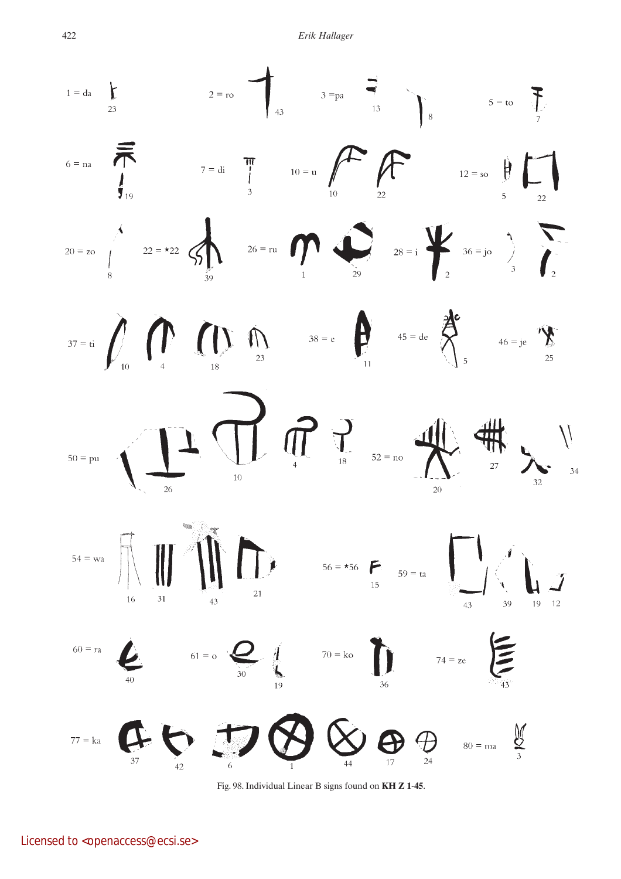

Fig. 98. Individual Linear B signs found on **KH Z 1**-**45**.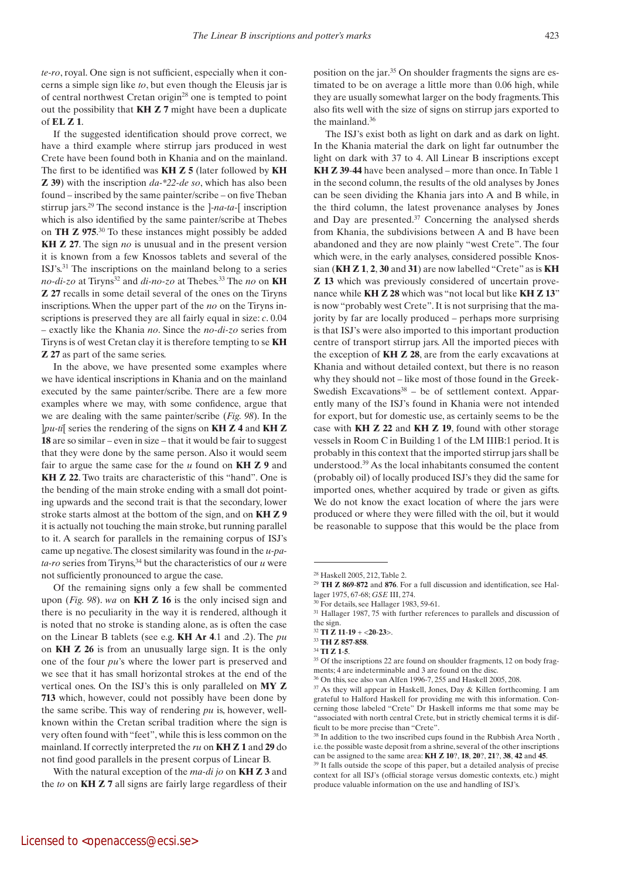*te-ro*, royal. One sign is not sufficient, especially when it concerns a simple sign like *to*, but even though the Eleusis jar is of central northwest Cretan origin28 one is tempted to point out the possibility that **KH Z 7** might have been a duplicate of **EL Z 1**.

If the suggested identification should prove correct, we have a third example where stirrup jars produced in west Crete have been found both in Khania and on the mainland. The first to be identified was **KH Z 5** (later followed by **KH Z 39**) with the inscription *da-\*22-de so*, which has also been found – inscribed by the same painter/scribe – on five Theban stirrup jars.29 The second instance is the ]-*na-ta*-[ inscription which is also identified by the same painter/scribe at Thebes on **TH Z 975**. 30 To these instances might possibly be added **KH Z 27**. The sign *no* is unusual and in the present version it is known from a few Knossos tablets and several of the ISJ's.31 The inscriptions on the mainland belong to a series *no-di-zo* at Tiryns32 and *di-no-zo* at Thebes.33 The *no* on **KH Z 27** recalls in some detail several of the ones on the Tiryns inscriptions. When the upper part of the *no* on the Tiryns inscriptions is preserved they are all fairly equal in size: *c*. 0.04 – exactly like the Khania *no*. Since the *no-di-zo* series from Tiryns is of west Cretan clay it is therefore tempting to se **KH Z 27** as part of the same series.

In the above, we have presented some examples where we have identical inscriptions in Khania and on the mainland executed by the same painter/scribe. There are a few more examples where we may, with some confidence, argue that we are dealing with the same painter/scribe (*Fig. 98*). In the ]*pu-ti*[ series the rendering of the signs on **KH Z 4** and **KH Z 18** are so similar – even in size – that it would be fair to suggest that they were done by the same person. Also it would seem fair to argue the same case for the *u* found on **KH Z 9** and **KH Z 22**. Two traits are characteristic of this "hand". One is the bending of the main stroke ending with a small dot pointing upwards and the second trait is that the secondary, lower stroke starts almost at the bottom of the sign, and on **KH Z 9** it is actually not touching the main stroke, but running parallel to it. A search for parallels in the remaining corpus of ISJ's came up negative. The closest similarity was found in the *u-pa* $ta-ro$  series from Tiryns,<sup>34</sup> but the characteristics of our  $u$  were not sufficiently pronounced to argue the case.

Of the remaining signs only a few shall be commented upon (*Fig. 98*). *wa* on **KH Z 16** is the only incised sign and there is no peculiarity in the way it is rendered, although it is noted that no stroke is standing alone, as is often the case on the Linear B tablets (see e.g. **KH Ar 4**.1 and .2). The *pu* on **KH Z 26** is from an unusually large sign. It is the only one of the four *pu*'s where the lower part is preserved and we see that it has small horizontal strokes at the end of the vertical ones. On the ISJ's this is only paralleled on **MY Z 713** which, however, could not possibly have been done by the same scribe. This way of rendering *pu* is, however, wellknown within the Cretan scribal tradition where the sign is very often found with "feet", while this is less common on the mainland. If correctly interpreted the *ru* on **KH Z 1** and **29** do not find good parallels in the present corpus of Linear B.

With the natural exception of the *ma-di jo* on **KH Z 3** and the *to* on **KH Z 7** all signs are fairly large regardless of their position on the jar.35 On shoulder fragments the signs are estimated to be on average a little more than 0.06 high, while they are usually somewhat larger on the body fragments. This also fits well with the size of signs on stirrup jars exported to the mainland.<sup>36</sup>

The ISJ's exist both as light on dark and as dark on light. In the Khania material the dark on light far outnumber the light on dark with 37 to 4. All Linear B inscriptions except **KH Z 39**-**44** have been analysed – more than once. In Table 1 in the second column, the results of the old analyses by Jones can be seen dividing the Khania jars into A and B while, in the third column, the latest provenance analyses by Jones and Day are presented. $37$  Concerning the analysed sherds from Khania, the subdivisions between A and B have been abandoned and they are now plainly "west Crete". The four which were, in the early analyses, considered possible Knossian (**KH Z 1**, **2**, **30** and **31**) are now labelled "Crete" as is **KH Z 13** which was previously considered of uncertain provenance while **KH Z 28** which was "not local but like **KH Z 13**" is now "probably west Crete". It is not surprising that the majority by far are locally produced – perhaps more surprising is that ISJ's were also imported to this important production centre of transport stirrup jars. All the imported pieces with the exception of **KH Z 28**, are from the early excavations at Khania and without detailed context, but there is no reason why they should not – like most of those found in the Greek-Swedish Excavations<sup>38</sup> – be of settlement context. Apparently many of the ISJ's found in Khania were not intended for export, but for domestic use, as certainly seems to be the case with **KH Z 22** and **KH Z 19**, found with other storage vessels in Room C in Building 1 of the LM IIIB:1 period. It is probably in this context that the imported stirrup jars shall be understood.39 As the local inhabitants consumed the content (probably oil) of locally produced ISJ's they did the same for imported ones, whether acquired by trade or given as gifts. We do not know the exact location of where the jars were produced or where they were filled with the oil, but it would be reasonable to suppose that this would be the place from

<sup>28</sup> Haskell 2005, 212, Table 2.

<sup>29</sup> **TH Z 869**-**872** and **876**. For a full discussion and identification, see Hallager 1975, 67-68; *GSE* III, 274.

For details, see Hallager 1983, 59-61.

<sup>&</sup>lt;sup>31</sup> Hallager 1987, 75 with further references to parallels and discussion of the sign.

<sup>32</sup> **TI Z 11**-**19** + <**20**-**23**>.

<sup>33</sup> **TH Z 857**-**858**.

<sup>34</sup> **TI Z 1**-**5**.

<sup>&</sup>lt;sup>35</sup> Of the inscriptions 22 are found on shoulder fragments, 12 on body fragments; 4 are indeterminable and 3 are found on the disc.

 $5$  On this, see also van Alfen 1996-7, 255 and Haskell 2005, 208.

<sup>37</sup> As they will appear in Haskell, Jones, Day & Killen forthcoming. I am grateful to Halford Haskell for providing me with this information. Concerning those labeled "Crete" Dr Haskell informs me that some may be "associated with north central Crete, but in strictly chemical terms it is difficult to be more precise than "Crete".

<sup>&</sup>lt;sup>38</sup> In addition to the two inscribed cups found in the Rubbish Area North, i.e. the possible waste deposit from a shrine, several of the other inscriptions can be assigned to the same area: **KH Z 10**?, **18**, **20**?, **21**?, **38**, **42** and **45**.

<sup>&</sup>lt;sup>39</sup> It falls outside the scope of this paper, but a detailed analysis of precise context for all ISJ's (official storage versus domestic contexts, etc.) might produce valuable information on the use and handling of ISJ's.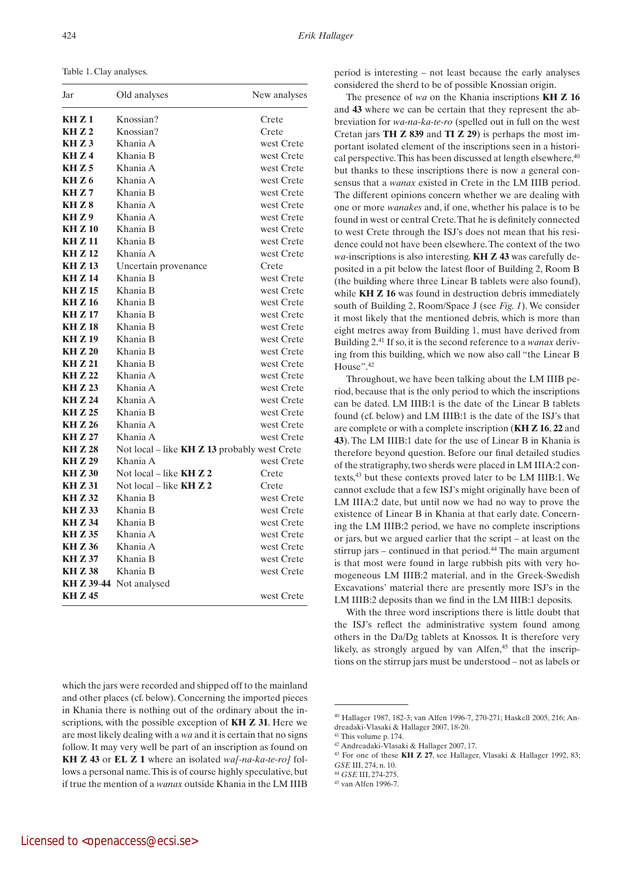Table 1. Clay analyses.

| Jar              | Old analyses                                 | New analyses |
|------------------|----------------------------------------------|--------------|
| KH Z 1           | Knossian?                                    | Crete        |
| KHZ2             | Knossian?                                    | Crete        |
| KHZ3             | Khania A                                     | west Crete   |
| KHZ4             | Khania B                                     | west Crete   |
| KHZ <sub>5</sub> | Khania A                                     | west Crete   |
| KHZ6             | Khania A                                     | west Crete   |
| KHZ7             | Khania B                                     | west Crete   |
| <b>KH Z 8</b>    | Khania A                                     | west Crete   |
| KH Z 9           | Khania A                                     | west Crete   |
| <b>KH Z 10</b>   | Khania B                                     | west Crete   |
| <b>KH Z 11</b>   | Khania B                                     | west Crete   |
| <b>KH Z 12</b>   | Khania A                                     | west Crete   |
| <b>KH Z 13</b>   | Uncertain provenance                         | Crete        |
| <b>KH Z 14</b>   | Khania B                                     | west Crete   |
| <b>KH Z 15</b>   | Khania B                                     | west Crete   |
| <b>KH Z 16</b>   | Khania B                                     | west Crete   |
| <b>KH Z 17</b>   | Khania B                                     | west Crete   |
| <b>KH Z 18</b>   | Khania B                                     | west Crete   |
| <b>KH Z 19</b>   | Khania B                                     | west Crete   |
| <b>KH Z 20</b>   | Khania B                                     | west Crete   |
| <b>KH Z 21</b>   | Khania B                                     | west Crete   |
| <b>KH Z 22</b>   | Khania A                                     | west Crete   |
| <b>KH Z 23</b>   | Khania A                                     | west Crete   |
| <b>KH Z 24</b>   | Khania A                                     | west Crete   |
| <b>KH Z 25</b>   | Khania B                                     | west Crete   |
| <b>KH Z 26</b>   | Khania A                                     | west Crete   |
| <b>KH Z 27</b>   | Khania A                                     | west Crete   |
| <b>KH Z 28</b>   | Not local – like KH Z 13 probably west Crete |              |
| <b>KH Z 29</b>   | Khania A                                     | west Crete   |
| <b>KH Z 30</b>   | Not local – like <b>KH Z 2</b>               | Crete        |
| <b>KH Z 31</b>   | Not local – like $KHZ2$                      | Crete        |
| <b>KH Z 32</b>   | Khania B                                     | west Crete   |
| <b>KH Z 33</b>   | Khania B                                     | west Crete   |
| <b>KH Z 34</b>   | Khania B                                     | west Crete   |
| <b>KH Z35</b>    | Khania A                                     | west Crete   |
| <b>KH Z 36</b>   | Khania A                                     | west Crete   |
| <b>KH Z 37</b>   | Khania B                                     | west Crete   |
| <b>KH Z 38</b>   | Khania B                                     | west Crete   |
|                  | KH Z 39-44 Not analysed                      |              |
| <b>KH Z 45</b>   |                                              | west Crete   |

period is interesting – not least because the early analyses considered the sherd to be of possible Knossian origin.

The presence of *wa* on the Khania inscriptions **KH Z 16** and **43** where we can be certain that they represent the abbreviation for *wa-na-ka-te-ro* (spelled out in full on the west Cretan jars **TH Z 839** and **TI Z 29**) is perhaps the most important isolated element of the inscriptions seen in a historical perspective. This has been discussed at length elsewhere,  $40$ but thanks to these inscriptions there is now a general consensus that a *wanax* existed in Crete in the LM IIIB period. The different opinions concern whether we are dealing with one or more *wanakes* and, if one, whether his palace is to be found in west or central Crete. That he is definitely connected to west Crete through the ISJ's does not mean that his residence could not have been elsewhere. The context of the two *wa*-inscriptions is also interesting. **KH Z 43** was carefully deposited in a pit below the latest floor of Building 2, Room B (the building where three Linear B tablets were also found), while **KH Z 16** was found in destruction debris immediately south of Building 2, Room/Space J (see *Fig. 1*). We consider it most likely that the mentioned debris, which is more than eight metres away from Building 1, must have derived from Building 2.41 If so, it is the second reference to a *wanax* deriving from this building, which we now also call "the Linear B House".42

Throughout, we have been talking about the LM IIIB period, because that is the only period to which the inscriptions can be dated. LM IIIB:1 is the date of the Linear B tablets found (cf. below) and LM IIIB:1 is the date of the ISJ's that are complete or with a complete inscription (**KH Z 16**, **22** and **43**). The LM IIIB:1 date for the use of Linear B in Khania is therefore beyond question. Before our final detailed studies of the stratigraphy, two sherds were placed in LM IIIA:2 contexts,43 but these contexts proved later to be LM IIIB:1. We cannot exclude that a few ISJ's might originally have been of LM IIIA:2 date, but until now we had no way to prove the existence of Linear B in Khania at that early date. Concerning the LM IIIB:2 period, we have no complete inscriptions or jars, but we argued earlier that the script – at least on the stirrup jars – continued in that period.<sup>44</sup> The main argument is that most were found in large rubbish pits with very homogeneous LM IIIB:2 material, and in the Greek-Swedish Excavations' material there are presently more ISJ's in the LM IIIB:2 deposits than we find in the LM IIIB:1 deposits.

With the three word inscriptions there is little doubt that the ISJ's reflect the administrative system found among others in the Da/Dg tablets at Knossos. It is therefore very likely, as strongly argued by van Alfen, $45$  that the inscriptions on the stirrup jars must be understood – not as labels or

which the jars were recorded and shipped off to the mainland and other places (cf. below). Concerning the imported pieces in Khania there is nothing out of the ordinary about the inscriptions, with the possible exception of **KH Z 31**. Here we are most likely dealing with a *wa* and it is certain that no signs follow. It may very well be part of an inscription as found on **KH Z 43** or **EL Z 1** where an isolated *wa[-na-ka-te-ro]* follows a personal name. This is of course highly speculative, but if true the mention of a *wanax* outside Khania in the LM IIIB

<sup>40</sup> Hallager 1987, 182-3; van Alfen 1996-7, 270-271; Haskell 2005, 216; Andreadaki-Vlasaki & Hallager 2007, 18-20.

<sup>41</sup> This volume p. 174.

<sup>42</sup> Andreadaki-Vlasaki & Hallager 2007, 17.

<sup>43</sup> For one of these **KH Z 27**, see Hallager, Vlasaki & Hallager 1992, 83; *GSE* III, 274, n. 10.

<sup>44</sup> *GSE* III, 274-275.

<sup>45</sup> van Alfen 1996-7.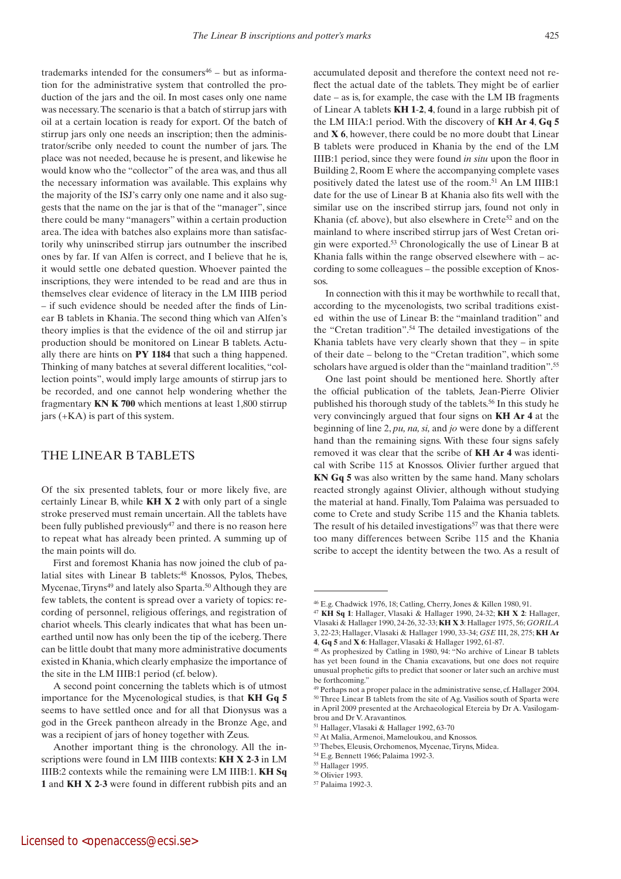trademarks intended for the consumers $46$  – but as information for the administrative system that controlled the production of the jars and the oil. In most cases only one name was necessary. The scenario is that a batch of stirrup jars with oil at a certain location is ready for export. Of the batch of stirrup jars only one needs an inscription; then the administrator/scribe only needed to count the number of jars. The place was not needed, because he is present, and likewise he would know who the "collector" of the area was, and thus all the necessary information was available. This explains why the majority of the ISJ's carry only one name and it also suggests that the name on the jar is that of the "manager", since there could be many "managers" within a certain production area. The idea with batches also explains more than satisfactorily why uninscribed stirrup jars outnumber the inscribed ones by far. If van Alfen is correct, and I believe that he is, it would settle one debated question. Whoever painted the inscriptions, they were intended to be read and are thus in themselves clear evidence of literacy in the LM IIIB period – if such evidence should be needed after the finds of Linear B tablets in Khania. The second thing which van Alfen's theory implies is that the evidence of the oil and stirrup jar production should be monitored on Linear B tablets. Actually there are hints on **PY 1184** that such a thing happened. Thinking of many batches at several different localities, "collection points", would imply large amounts of stirrup jars to be recorded, and one cannot help wondering whether the fragmentary **KN K 700** which mentions at least 1,800 stirrup

jars (+KA) is part of this system.

# The Linear B tablets

Of the six presented tablets, four or more likely five, are certainly Linear B, while **KH X 2** with only part of a single stroke preserved must remain uncertain. All the tablets have been fully published previously<sup>47</sup> and there is no reason here to repeat what has already been printed. A summing up of the main points will do.

First and foremost Khania has now joined the club of palatial sites with Linear B tablets:48 Knossos, Pylos, Thebes, Mycenae, Tiryns<sup>49</sup> and lately also Sparta.<sup>50</sup> Although they are few tablets, the content is spread over a variety of topics: recording of personnel, religious offerings, and registration of chariot wheels. This clearly indicates that what has been unearthed until now has only been the tip of the iceberg. There can be little doubt that many more administrative documents existed in Khania, which clearly emphasize the importance of the site in the LM IIIB:1 period (cf. below).

A second point concerning the tablets which is of utmost importance for the Mycenological studies, is that **KH Gq 5** seems to have settled once and for all that Dionysus was a god in the Greek pantheon already in the Bronze Age, and was a recipient of jars of honey together with Zeus.

Another important thing is the chronology. All the inscriptions were found in LM IIIB contexts: **KH X 2**-**3** in LM IIIB:2 contexts while the remaining were LM IIIB:1. **KH Sq 1** and **KH X 2**-**3** were found in different rubbish pits and an

accumulated deposit and therefore the context need not reflect the actual date of the tablets. They might be of earlier date – as is, for example, the case with the LM IB fragments of Linear A tablets **KH 1**-**2**, **4**, found in a large rubbish pit of the LM IIIA:1 period. With the discovery of **KH Ar 4**, **Gq 5** and **X 6**, however, there could be no more doubt that Linear B tablets were produced in Khania by the end of the LM IIIB:1 period, since they were found *in situ* upon the floor in Building 2, Room E where the accompanying complete vases positively dated the latest use of the room.51 An LM IIIB:1 date for the use of Linear B at Khania also fits well with the similar use on the inscribed stirrup jars, found not only in Khania (cf. above), but also elsewhere in Crete<sup>52</sup> and on the mainland to where inscribed stirrup jars of West Cretan origin were exported.53 Chronologically the use of Linear B at Khania falls within the range observed elsewhere with – according to some colleagues – the possible exception of Knossos.

In connection with this it may be worthwhile to recall that, according to the mycenologists, two scribal traditions existed within the use of Linear B: the "mainland tradition" and the "Cretan tradition".54 The detailed investigations of the Khania tablets have very clearly shown that they  $-$  in spite of their date – belong to the "Cretan tradition", which some scholars have argued is older than the "mainland tradition".55

One last point should be mentioned here. Shortly after the official publication of the tablets, Jean-Pierre Olivier published his thorough study of the tablets.<sup>56</sup> In this study he very convincingly argued that four signs on **KH Ar 4** at the beginning of line 2, *pu, na, si,* and *jo* were done by a different hand than the remaining signs. With these four signs safely removed it was clear that the scribe of **KH Ar 4** was identical with Scribe 115 at Knossos. Olivier further argued that **KN Gq 5** was also written by the same hand. Many scholars reacted strongly against Olivier, although without studying the material at hand. Finally, Tom Palaima was persuaded to come to Crete and study Scribe 115 and the Khania tablets. The result of his detailed investigations $57$  was that there were too many differences between Scribe 115 and the Khania scribe to accept the identity between the two. As a result of

<sup>46</sup> E.g. Chadwick 1976, 18; Catling, Cherry, Jones & Killen 1980, 91.

<sup>47</sup> **KH Sq 1**: Hallager, Vlasaki & Hallager 1990, 24-32; **KH X 2**: Hallager, Vlasaki & Hallager 1990, 24-26, 32-33; **KH X 3**: Hallager 1975, 56; *GORILA* 3, 22-23; Hallager, Vlasaki & Hallager 1990, 33-34; *GSE* III, 28, 275; **KH Ar 4**, **Gq 5** and **X 6**: Hallager, Vlasaki & Hallager 1992, 61-87.

<sup>48</sup> As prophesized by Catling in 1980, 94: "No archive of Linear B tablets has yet been found in the Chania excavations, but one does not require unusual prophetic gifts to predict that sooner or later such an archive must be forthcoming."

 $49$  Perhaps not a proper palace in the administrative sense, cf. Hallager 2004. 50 Three Linear B tablets from the site of Ag. Vasilios south of Sparta were in April 2009 presented at the Archaeological Etereia by Dr A. Vasilogambrou and Dr V. Aravantinos.

<sup>51</sup> Hallager, Vlasaki & Hallager 1992, 63-70

<sup>52</sup> At Malia, Armenoi, Mameloukou, and Knossos.

<sup>53</sup> Thebes, Eleusis, Orchomenos, Mycenae, Tiryns, Midea.

<sup>54</sup> E.g. Bennett 1966; Palaima 1992-3.

<sup>55</sup> Hallager 1995.

<sup>56</sup> Olivier 1993.

<sup>57</sup> Palaima 1992-3.